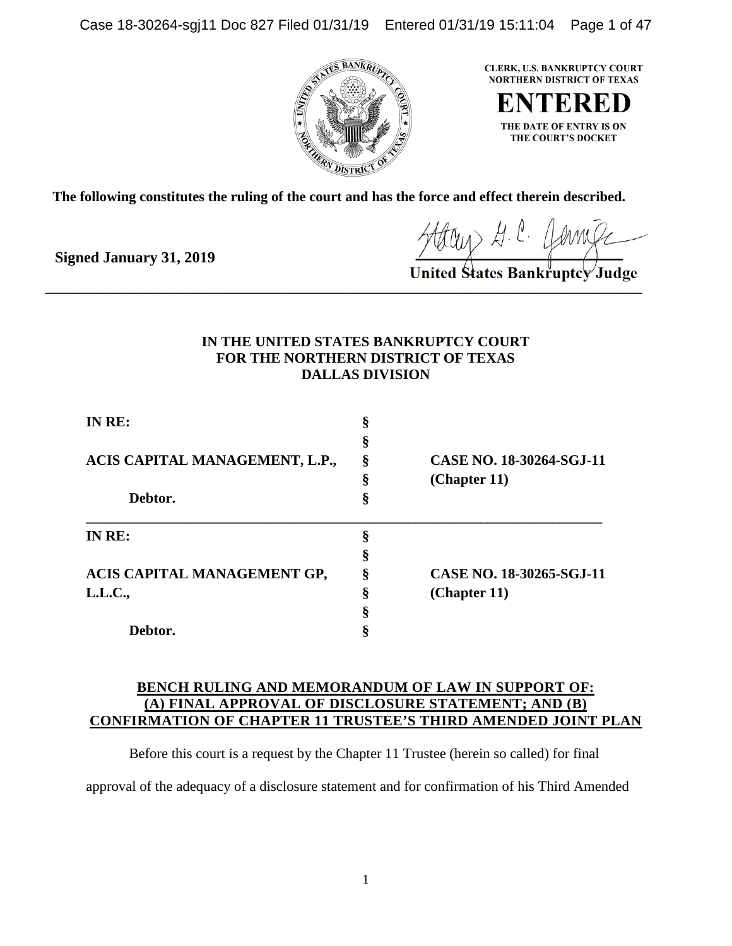Case 18-30264-sgj11 Doc 827 Filed 01/31/19 Entered 01/31/19 15:11:04 Page 1 of 47



**CLERK, U.S. BANKRUPTCY COURT NORTHERN DISTRICT OF TEXAS** 

**ENTERED** THE DATE OF ENTRY IS ON THE COURT'S DOCKET

**The following constitutes the ruling of the court and has the force and effect therein described.**

**Signed January 31, 2019**

'Judøe  $\overline{\phantom{a}}$  ,  $\overline{\phantom{a}}$  ,  $\overline{\phantom{a}}$  ,  $\overline{\phantom{a}}$  ,  $\overline{\phantom{a}}$  ,  $\overline{\phantom{a}}$  ,  $\overline{\phantom{a}}$  ,  $\overline{\phantom{a}}$  ,  $\overline{\phantom{a}}$ 

# **IN THE UNITED STATES BANKRUPTCY COURT FOR THE NORTHERN DISTRICT OF TEXAS DALLAS DIVISION**

| IN RE:<br>ACIS CAPITAL MANAGEMENT, L.P.,<br>Debtor. |        | CASE NO. 18-30264-SGJ-11 |
|-----------------------------------------------------|--------|--------------------------|
|                                                     | 8<br>ş |                          |
|                                                     |        |                          |
|                                                     |        |                          |
|                                                     | IN RE: | ş                        |
|                                                     |        |                          |
| ACIS CAPITAL MANAGEMENT GP,                         | ş      | CASE NO. 18-30265-SGJ-11 |
| L.L.C.,                                             | ş      | (Chapter 11)             |
|                                                     | ş      |                          |
| Debtor.                                             |        |                          |

# **BENCH RULING AND MEMORANDUM OF LAW IN SUPPORT OF: (A) FINAL APPROVAL OF DISCLOSURE STATEMENT; AND (B) CONFIRMATION OF CHAPTER 11 TRUSTEE'S THIRD AMENDED JOINT PLAN**

Before this court is a request by the Chapter 11 Trustee (herein so called) for final

approval of the adequacy of a disclosure statement and for confirmation of his Third Amended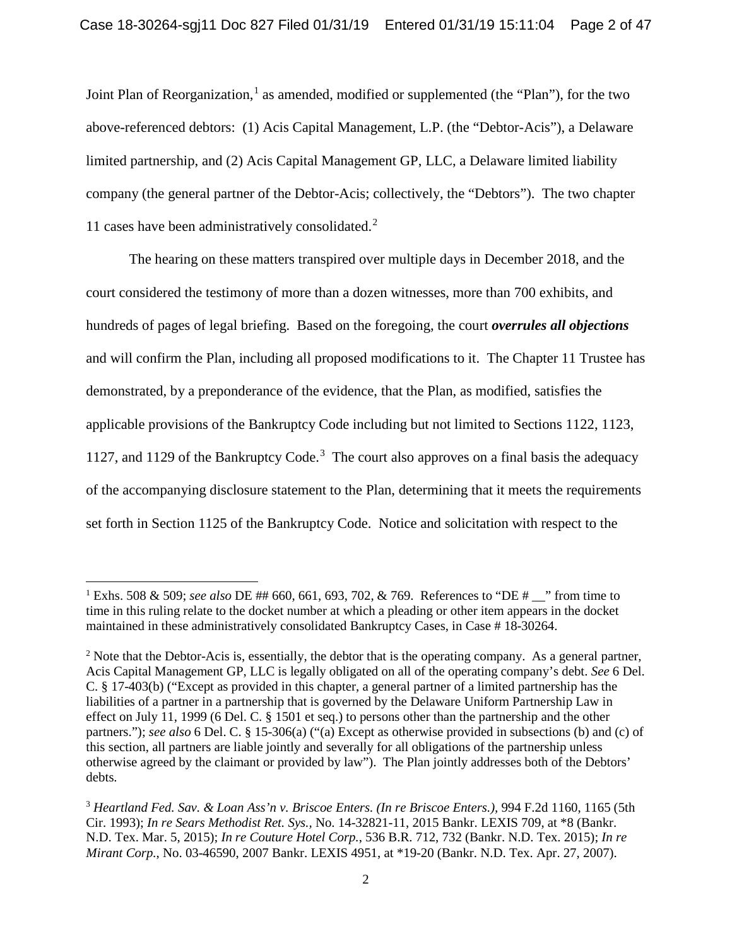Joint Plan of Reorganization,<sup>1</sup> as amended, modified or supplemented (the "Plan"), for the two above-referenced debtors: (1) Acis Capital Management, L.P. (the "Debtor-Acis"), a Delaware limited partnership, and (2) Acis Capital Management GP, LLC, a Delaware limited liability company (the general partner of the Debtor-Acis; collectively, the "Debtors"). The two chapter 11 cases have been administratively consolidated.<sup>2</sup>

The hearing on these matters transpired over multiple days in December 2018, and the court considered the testimony of more than a dozen witnesses, more than 700 exhibits, and hundreds of pages of legal briefing. Based on the foregoing, the court *overrules all objections* and will confirm the Plan, including all proposed modifications to it. The Chapter 11 Trustee has demonstrated, by a preponderance of the evidence, that the Plan, as modified, satisfies the applicable provisions of the Bankruptcy Code including but not limited to Sections 1122, 1123, 1127, and 1129 of the Bankruptcy Code. <sup>3</sup> The court also approves on a final basis the adequacy of the accompanying disclosure statement to the Plan, determining that it meets the requirements set forth in Section 1125 of the Bankruptcy Code. Notice and solicitation with respect to the

 $\overline{a}$ 

<sup>&</sup>lt;sup>1</sup> Exhs. 508 & 509; *see also* DE ## 660, 661, 693, 702, & 769. References to "DE #  $\blacksquare$ " from time to time in this ruling relate to the docket number at which a pleading or other item appears in the docket maintained in these administratively consolidated Bankruptcy Cases, in Case # 18-30264.

 $2$  Note that the Debtor-Acis is, essentially, the debtor that is the operating company. As a general partner, Acis Capital Management GP, LLC is legally obligated on all of the operating company's debt. *See* 6 Del. C. § 17-403(b) ("Except as provided in this chapter, a general partner of a limited partnership has the liabilities of a partner in a partnership that is governed by the Delaware Uniform Partnership Law in effect on July 11, 1999 (6 Del. C. § 1501 et seq.) to persons other than the partnership and the other partners."); *see also* 6 Del. C. § 15-306(a) ("(a) Except as otherwise provided in subsections (b) and (c) of this section, all partners are liable jointly and severally for all obligations of the partnership unless otherwise agreed by the claimant or provided by law"). The Plan jointly addresses both of the Debtors' debts.

<sup>3</sup> *Heartland Fed. Sav. & Loan Ass'n v. Briscoe Enters. (In re Briscoe Enters.),* 994 F.2d 1160, 1165 (5th Cir. 1993); *In re Sears Methodist Ret. Sys.,* No. 14-32821-11, 2015 Bankr. LEXIS 709, at \*8 (Bankr. N.D. Tex. Mar. 5, 2015); *In re Couture Hotel Corp.*, 536 B.R. 712, 732 (Bankr. N.D. Tex. 2015); *In re Mirant Corp.*, No. 03-46590, 2007 Bankr. LEXIS 4951, at \*19-20 (Bankr. N.D. Tex. Apr. 27, 2007).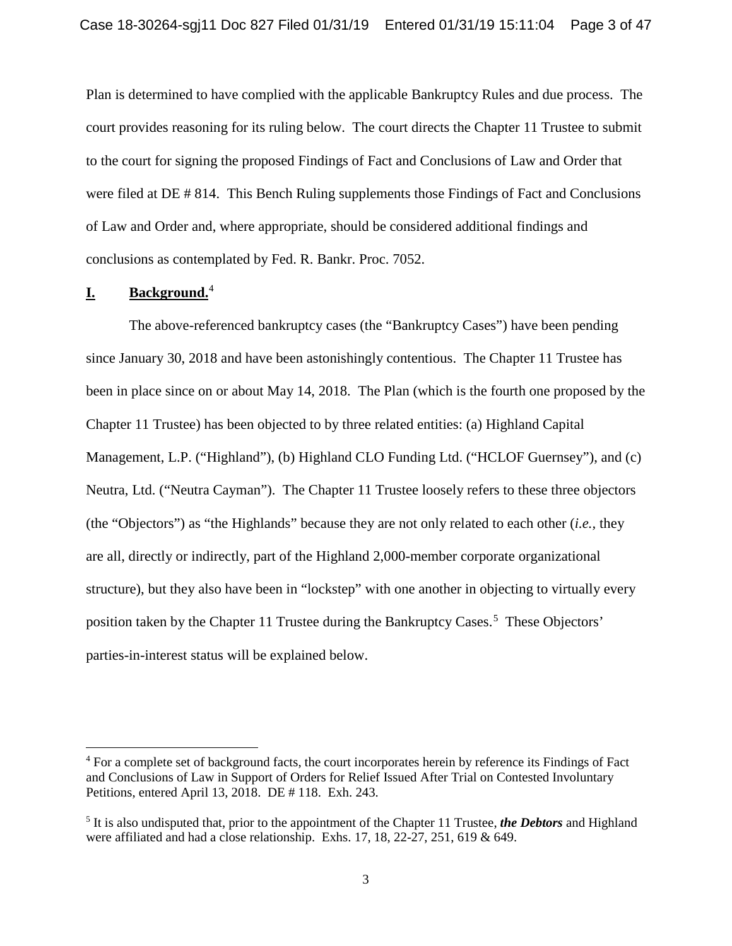Plan is determined to have complied with the applicable Bankruptcy Rules and due process. The court provides reasoning for its ruling below. The court directs the Chapter 11 Trustee to submit to the court for signing the proposed Findings of Fact and Conclusions of Law and Order that were filed at DE # 814. This Bench Ruling supplements those Findings of Fact and Conclusions of Law and Order and, where appropriate, should be considered additional findings and conclusions as contemplated by Fed. R. Bankr. Proc. 7052.

# **I. Background.** 4

 $\overline{\phantom{a}}$ 

The above-referenced bankruptcy cases (the "Bankruptcy Cases") have been pending since January 30, 2018 and have been astonishingly contentious. The Chapter 11 Trustee has been in place since on or about May 14, 2018. The Plan (which is the fourth one proposed by the Chapter 11 Trustee) has been objected to by three related entities: (a) Highland Capital Management, L.P. ("Highland"), (b) Highland CLO Funding Ltd. ("HCLOF Guernsey"), and (c) Neutra, Ltd. ("Neutra Cayman"). The Chapter 11 Trustee loosely refers to these three objectors (the "Objectors") as "the Highlands" because they are not only related to each other (*i.e.,* they are all, directly or indirectly, part of the Highland 2,000-member corporate organizational structure), but they also have been in "lockstep" with one another in objecting to virtually every position taken by the Chapter 11 Trustee during the Bankruptcy Cases.<sup>5</sup> These Objectors' parties-in-interest status will be explained below.

<sup>&</sup>lt;sup>4</sup> For a complete set of background facts, the court incorporates herein by reference its Findings of Fact and Conclusions of Law in Support of Orders for Relief Issued After Trial on Contested Involuntary Petitions, entered April 13, 2018. DE # 118. Exh. 243.

<sup>5</sup> It is also undisputed that, prior to the appointment of the Chapter 11 Trustee, *the Debtors* and Highland were affiliated and had a close relationship. Exhs. 17, 18, 22-27, 251, 619 & 649.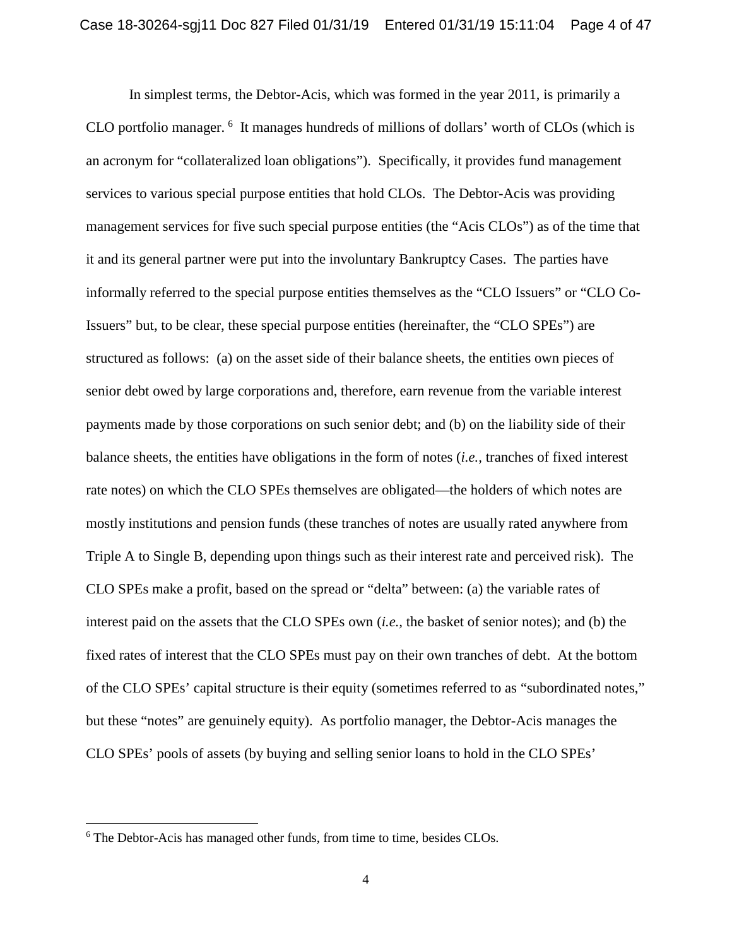In simplest terms, the Debtor-Acis, which was formed in the year 2011, is primarily a CLO portfolio manager. <sup>6</sup> It manages hundreds of millions of dollars' worth of CLOs (which is an acronym for "collateralized loan obligations"). Specifically, it provides fund management services to various special purpose entities that hold CLOs. The Debtor-Acis was providing management services for five such special purpose entities (the "Acis CLOs") as of the time that it and its general partner were put into the involuntary Bankruptcy Cases. The parties have informally referred to the special purpose entities themselves as the "CLO Issuers" or "CLO Co-Issuers" but, to be clear, these special purpose entities (hereinafter, the "CLO SPEs") are structured as follows: (a) on the asset side of their balance sheets, the entities own pieces of senior debt owed by large corporations and, therefore, earn revenue from the variable interest payments made by those corporations on such senior debt; and (b) on the liability side of their balance sheets, the entities have obligations in the form of notes (*i.e.,* tranches of fixed interest rate notes) on which the CLO SPEs themselves are obligated—the holders of which notes are mostly institutions and pension funds (these tranches of notes are usually rated anywhere from Triple A to Single B, depending upon things such as their interest rate and perceived risk). The CLO SPEs make a profit, based on the spread or "delta" between: (a) the variable rates of interest paid on the assets that the CLO SPEs own (*i.e.,* the basket of senior notes); and (b) the fixed rates of interest that the CLO SPEs must pay on their own tranches of debt. At the bottom of the CLO SPEs' capital structure is their equity (sometimes referred to as "subordinated notes," but these "notes" are genuinely equity). As portfolio manager, the Debtor-Acis manages the CLO SPEs' pools of assets (by buying and selling senior loans to hold in the CLO SPEs'

<sup>&</sup>lt;sup>6</sup> The Debtor-Acis has managed other funds, from time to time, besides CLOs.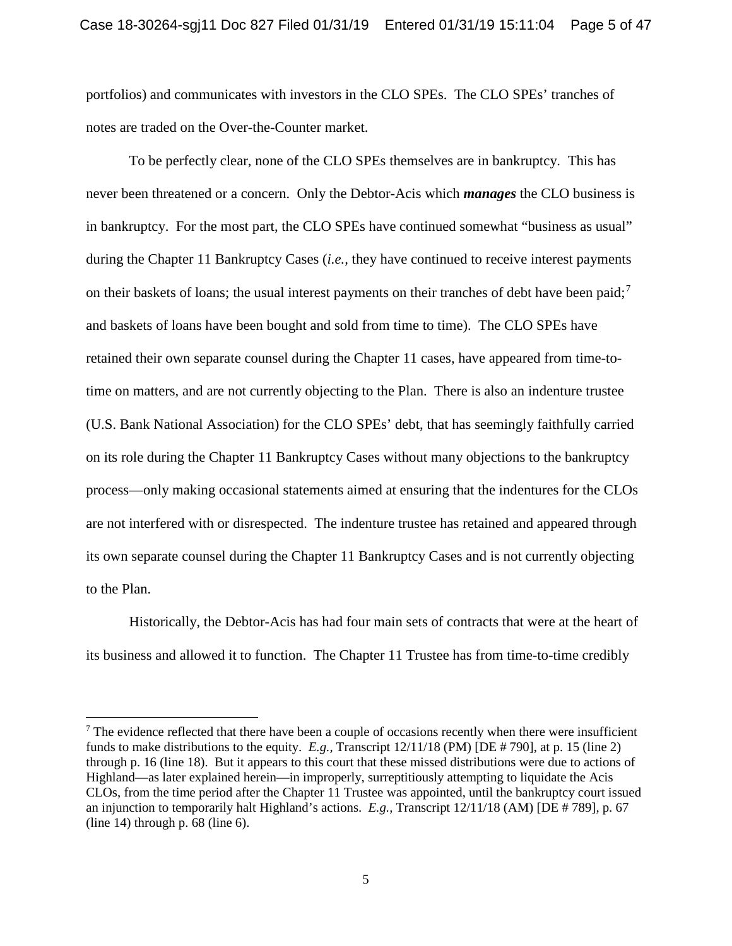portfolios) and communicates with investors in the CLO SPEs. The CLO SPEs' tranches of notes are traded on the Over-the-Counter market.

To be perfectly clear, none of the CLO SPEs themselves are in bankruptcy. This has never been threatened or a concern. Only the Debtor-Acis which *manages* the CLO business is in bankruptcy. For the most part, the CLO SPEs have continued somewhat "business as usual" during the Chapter 11 Bankruptcy Cases (*i.e.,* they have continued to receive interest payments on their baskets of loans; the usual interest payments on their tranches of debt have been paid;<sup>7</sup> and baskets of loans have been bought and sold from time to time). The CLO SPEs have retained their own separate counsel during the Chapter 11 cases, have appeared from time-totime on matters, and are not currently objecting to the Plan. There is also an indenture trustee (U.S. Bank National Association) for the CLO SPEs' debt, that has seemingly faithfully carried on its role during the Chapter 11 Bankruptcy Cases without many objections to the bankruptcy process—only making occasional statements aimed at ensuring that the indentures for the CLOs are not interfered with or disrespected. The indenture trustee has retained and appeared through its own separate counsel during the Chapter 11 Bankruptcy Cases and is not currently objecting to the Plan.

Historically, the Debtor-Acis has had four main sets of contracts that were at the heart of its business and allowed it to function. The Chapter 11 Trustee has from time-to-time credibly

 $<sup>7</sup>$  The evidence reflected that there have been a couple of occasions recently when there were insufficient</sup> funds to make distributions to the equity. *E.g.,* Transcript 12/11/18 (PM) [DE # 790], at p. 15 (line 2) through p. 16 (line 18). But it appears to this court that these missed distributions were due to actions of Highland—as later explained herein—in improperly, surreptitiously attempting to liquidate the Acis CLOs, from the time period after the Chapter 11 Trustee was appointed, until the bankruptcy court issued an injunction to temporarily halt Highland's actions. *E.g.,* Transcript 12/11/18 (AM) [DE # 789], p. 67 (line  $14$ ) through p. 68 (line 6).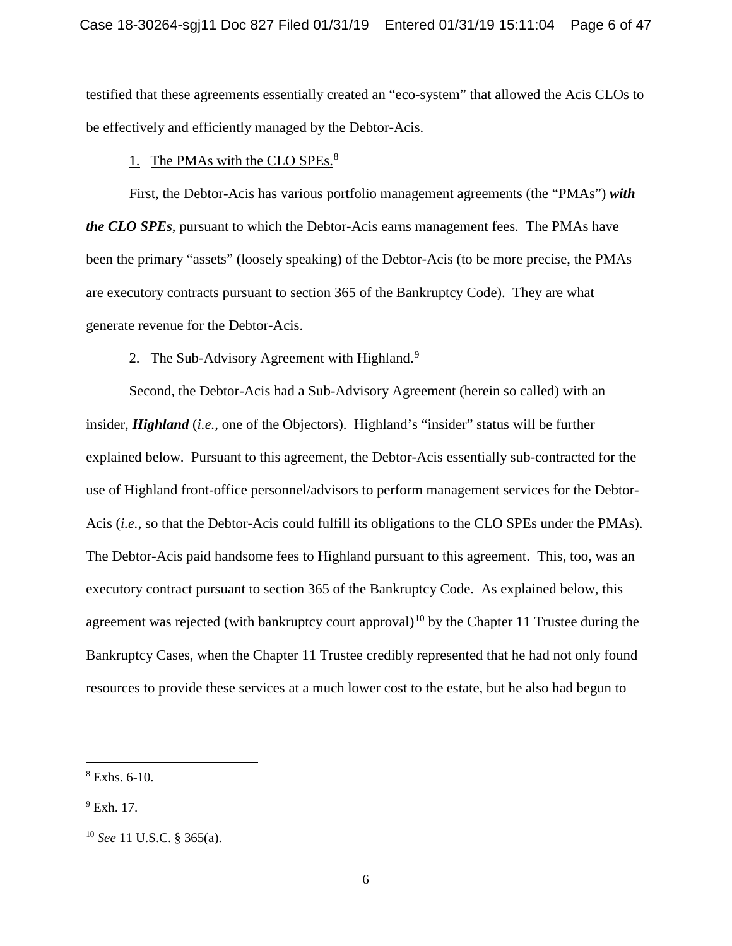testified that these agreements essentially created an "eco-system" that allowed the Acis CLOs to be effectively and efficiently managed by the Debtor-Acis.

# 1. The PMAs with the CLO SPEs. $8$

First, the Debtor-Acis has various portfolio management agreements (the "PMAs") *with the CLO SPEs*, pursuant to which the Debtor-Acis earns management fees. The PMAs have been the primary "assets" (loosely speaking) of the Debtor-Acis (to be more precise, the PMAs are executory contracts pursuant to section 365 of the Bankruptcy Code). They are what generate revenue for the Debtor-Acis.

## 2. The Sub-Advisory Agreement with Highland.<sup>9</sup>

Second, the Debtor-Acis had a Sub-Advisory Agreement (herein so called) with an insider, *Highland* (*i.e.,* one of the Objectors). Highland's "insider" status will be further explained below. Pursuant to this agreement, the Debtor-Acis essentially sub-contracted for the use of Highland front-office personnel/advisors to perform management services for the Debtor-Acis (*i.e.,* so that the Debtor-Acis could fulfill its obligations to the CLO SPEs under the PMAs). The Debtor-Acis paid handsome fees to Highland pursuant to this agreement. This, too, was an executory contract pursuant to section 365 of the Bankruptcy Code. As explained below, this agreement was rejected (with bankruptcy court approval)<sup>10</sup> by the Chapter 11 Trustee during the Bankruptcy Cases, when the Chapter 11 Trustee credibly represented that he had not only found resources to provide these services at a much lower cost to the estate, but he also had begun to

 $8$  Exhs. 6-10.

 $9$  Exh. 17.

<sup>10</sup> *See* 11 U.S.C. § 365(a).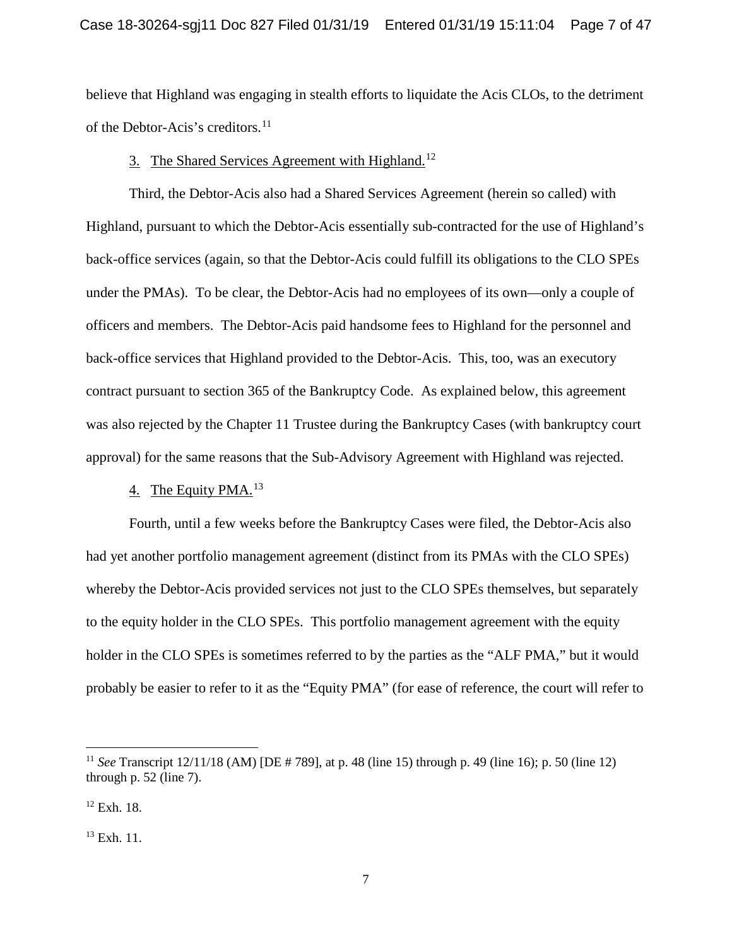believe that Highland was engaging in stealth efforts to liquidate the Acis CLOs, to the detriment of the Debtor-Acis's creditors.<sup>11</sup>

# 3. The Shared Services Agreement with Highland.<sup>12</sup>

Third, the Debtor-Acis also had a Shared Services Agreement (herein so called) with Highland, pursuant to which the Debtor-Acis essentially sub-contracted for the use of Highland's back-office services (again, so that the Debtor-Acis could fulfill its obligations to the CLO SPEs under the PMAs). To be clear, the Debtor-Acis had no employees of its own—only a couple of officers and members. The Debtor-Acis paid handsome fees to Highland for the personnel and back-office services that Highland provided to the Debtor-Acis. This, too, was an executory contract pursuant to section 365 of the Bankruptcy Code. As explained below, this agreement was also rejected by the Chapter 11 Trustee during the Bankruptcy Cases (with bankruptcy court approval) for the same reasons that the Sub-Advisory Agreement with Highland was rejected.

# 4. The Equity PMA.<sup>13</sup>

Fourth, until a few weeks before the Bankruptcy Cases were filed, the Debtor-Acis also had yet another portfolio management agreement (distinct from its PMAs with the CLO SPEs) whereby the Debtor-Acis provided services not just to the CLO SPEs themselves, but separately to the equity holder in the CLO SPEs. This portfolio management agreement with the equity holder in the CLO SPEs is sometimes referred to by the parties as the "ALF PMA," but it would probably be easier to refer to it as the "Equity PMA" (for ease of reference, the court will refer to

<sup>11</sup> *See* Transcript 12/11/18 (AM) [DE # 789], at p. 48 (line 15) through p. 49 (line 16); p. 50 (line 12) through p. 52 (line 7).

<sup>12</sup> Exh. 18.

<sup>13</sup> Exh. 11.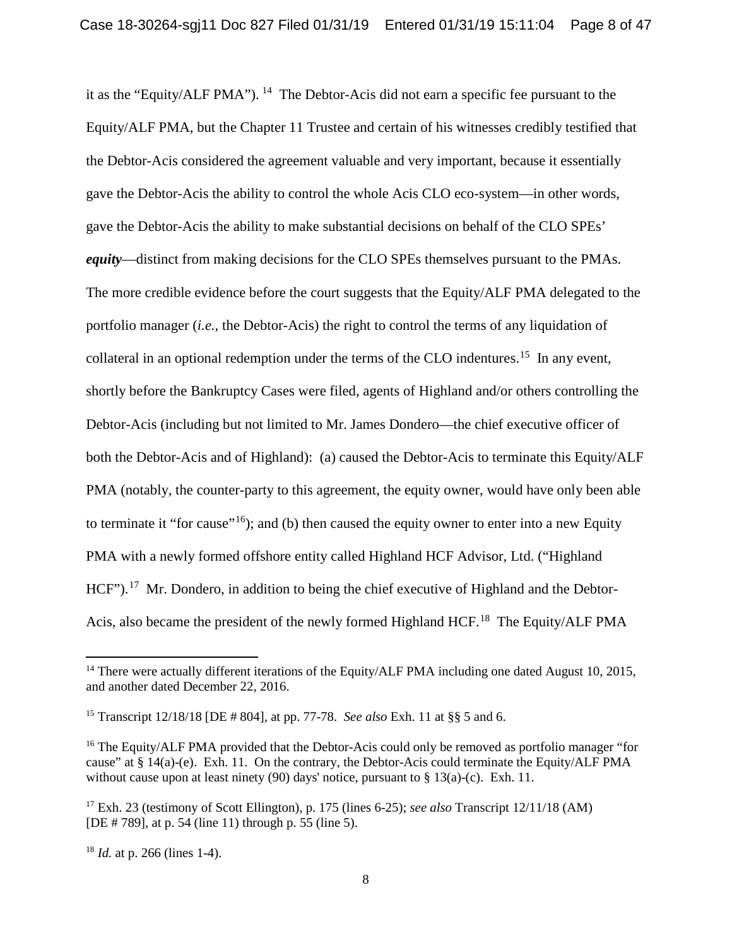it as the "Equity/ALF PMA"). <sup>14</sup> The Debtor-Acis did not earn a specific fee pursuant to the Equity/ALF PMA, but the Chapter 11 Trustee and certain of his witnesses credibly testified that the Debtor-Acis considered the agreement valuable and very important, because it essentially gave the Debtor-Acis the ability to control the whole Acis CLO eco-system—in other words, gave the Debtor-Acis the ability to make substantial decisions on behalf of the CLO SPEs' *equity*—distinct from making decisions for the CLO SPEs themselves pursuant to the PMAs. The more credible evidence before the court suggests that the Equity/ALF PMA delegated to the portfolio manager (*i.e.,* the Debtor-Acis) the right to control the terms of any liquidation of collateral in an optional redemption under the terms of the CLO indentures.<sup>15</sup> In any event, shortly before the Bankruptcy Cases were filed, agents of Highland and/or others controlling the Debtor-Acis (including but not limited to Mr. James Dondero—the chief executive officer of both the Debtor-Acis and of Highland): (a) caused the Debtor-Acis to terminate this Equity/ALF PMA (notably, the counter-party to this agreement, the equity owner, would have only been able to terminate it "for cause"<sup>16</sup>); and (b) then caused the equity owner to enter into a new Equity PMA with a newly formed offshore entity called Highland HCF Advisor, Ltd. ("Highland HCF").<sup>17</sup> Mr. Dondero, in addition to being the chief executive of Highland and the Debtor-Acis, also became the president of the newly formed Highland HCF.<sup>18</sup> The Equity/ALF PMA

<sup>&</sup>lt;sup>14</sup> There were actually different iterations of the Equity/ALF PMA including one dated August 10, 2015, and another dated December 22, 2016.

<sup>15</sup> Transcript 12/18/18 [DE # 804], at pp. 77-78. *See also* Exh. 11 at §§ 5 and 6.

<sup>&</sup>lt;sup>16</sup> The Equity/ALF PMA provided that the Debtor-Acis could only be removed as portfolio manager "for cause" at § 14(a)-(e). Exh. 11. On the contrary, the Debtor-Acis could terminate the Equity/ALF PMA without cause upon at least ninety (90) days' notice, pursuant to  $\S 13(a)-(c)$ . Exh. 11.

<sup>17</sup> Exh. 23 (testimony of Scott Ellington), p. 175 (lines 6-25); *see also* Transcript 12/11/18 (AM) [DE # 789], at p. 54 (line 11) through p. 55 (line 5).

<sup>18</sup> *Id.* at p. 266 (lines 1-4).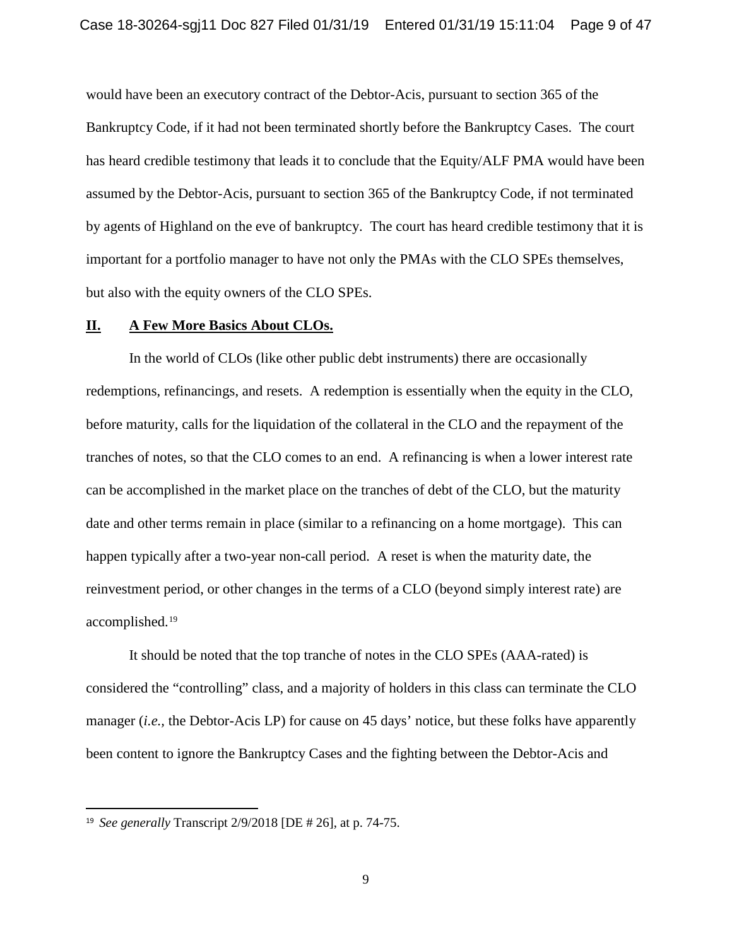would have been an executory contract of the Debtor-Acis, pursuant to section 365 of the Bankruptcy Code, if it had not been terminated shortly before the Bankruptcy Cases. The court has heard credible testimony that leads it to conclude that the Equity/ALF PMA would have been assumed by the Debtor-Acis, pursuant to section 365 of the Bankruptcy Code, if not terminated by agents of Highland on the eve of bankruptcy. The court has heard credible testimony that it is important for a portfolio manager to have not only the PMAs with the CLO SPEs themselves, but also with the equity owners of the CLO SPEs.

#### **II. A Few More Basics About CLOs.**

In the world of CLOs (like other public debt instruments) there are occasionally redemptions, refinancings, and resets. A redemption is essentially when the equity in the CLO, before maturity, calls for the liquidation of the collateral in the CLO and the repayment of the tranches of notes, so that the CLO comes to an end. A refinancing is when a lower interest rate can be accomplished in the market place on the tranches of debt of the CLO, but the maturity date and other terms remain in place (similar to a refinancing on a home mortgage). This can happen typically after a two-year non-call period. A reset is when the maturity date, the reinvestment period, or other changes in the terms of a CLO (beyond simply interest rate) are accomplished.19

It should be noted that the top tranche of notes in the CLO SPEs (AAA-rated) is considered the "controlling" class, and a majority of holders in this class can terminate the CLO manager (*i.e.,* the Debtor*-*Acis LP) for cause on 45 days' notice, but these folks have apparently been content to ignore the Bankruptcy Cases and the fighting between the Debtor-Acis and

 <sup>19</sup> *See generally* Transcript 2/9/2018 [DE # 26], at p. 74-75.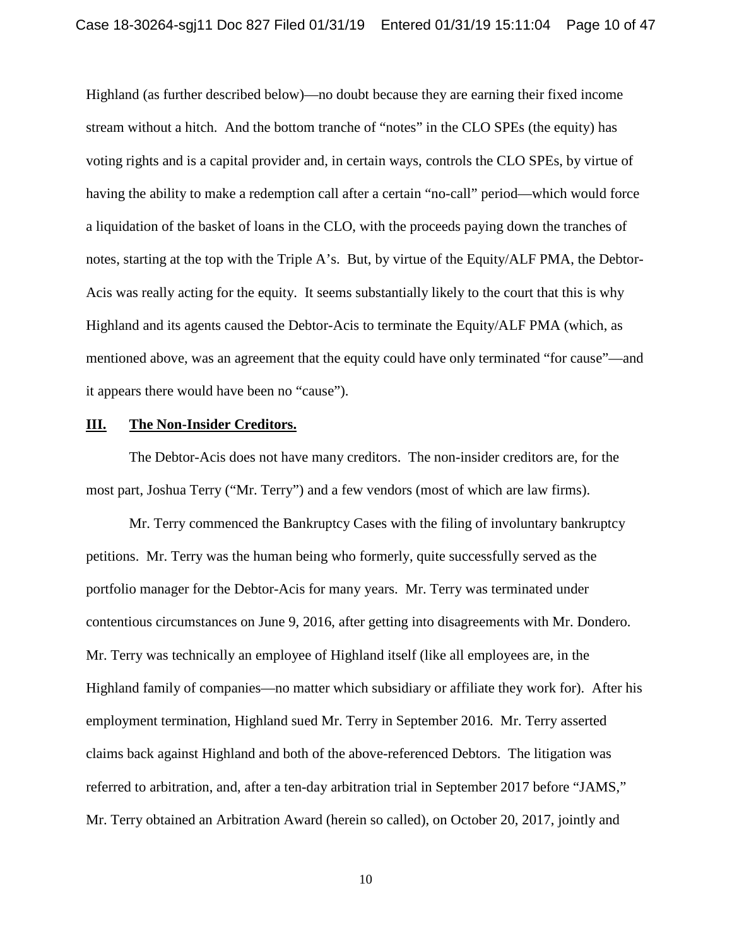Highland (as further described below)—no doubt because they are earning their fixed income stream without a hitch. And the bottom tranche of "notes" in the CLO SPEs (the equity) has voting rights and is a capital provider and, in certain ways, controls the CLO SPEs, by virtue of having the ability to make a redemption call after a certain "no-call" period—which would force a liquidation of the basket of loans in the CLO, with the proceeds paying down the tranches of notes, starting at the top with the Triple A's. But, by virtue of the Equity/ALF PMA, the Debtor-Acis was really acting for the equity. It seems substantially likely to the court that this is why Highland and its agents caused the Debtor-Acis to terminate the Equity/ALF PMA (which, as mentioned above, was an agreement that the equity could have only terminated "for cause"—and it appears there would have been no "cause").

### **III. The Non-Insider Creditors.**

The Debtor-Acis does not have many creditors. The non-insider creditors are, for the most part, Joshua Terry ("Mr. Terry") and a few vendors (most of which are law firms).

Mr. Terry commenced the Bankruptcy Cases with the filing of involuntary bankruptcy petitions. Mr. Terry was the human being who formerly, quite successfully served as the portfolio manager for the Debtor-Acis for many years. Mr. Terry was terminated under contentious circumstances on June 9, 2016, after getting into disagreements with Mr. Dondero. Mr. Terry was technically an employee of Highland itself (like all employees are, in the Highland family of companies—no matter which subsidiary or affiliate they work for). After his employment termination, Highland sued Mr. Terry in September 2016. Mr. Terry asserted claims back against Highland and both of the above-referenced Debtors. The litigation was referred to arbitration, and, after a ten-day arbitration trial in September 2017 before "JAMS," Mr. Terry obtained an Arbitration Award (herein so called), on October 20, 2017, jointly and

10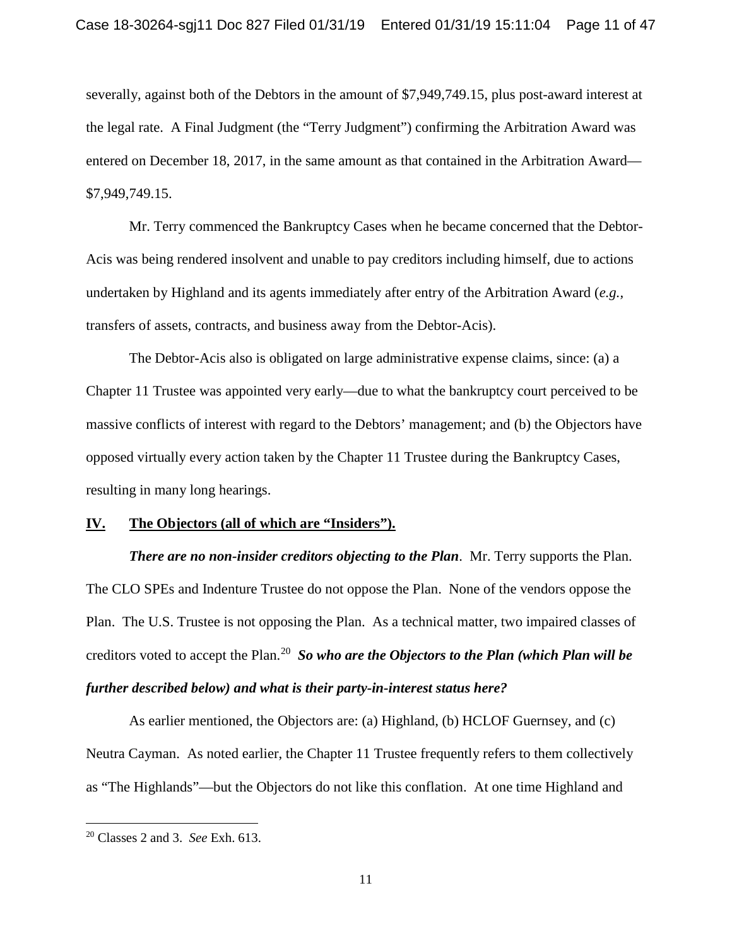severally, against both of the Debtors in the amount of \$7,949,749.15, plus post-award interest at the legal rate. A Final Judgment (the "Terry Judgment") confirming the Arbitration Award was entered on December 18, 2017, in the same amount as that contained in the Arbitration Award— \$7,949,749.15.

Mr. Terry commenced the Bankruptcy Cases when he became concerned that the Debtor-Acis was being rendered insolvent and unable to pay creditors including himself, due to actions undertaken by Highland and its agents immediately after entry of the Arbitration Award (*e.g.,* transfers of assets, contracts, and business away from the Debtor-Acis).

The Debtor-Acis also is obligated on large administrative expense claims, since: (a) a Chapter 11 Trustee was appointed very early—due to what the bankruptcy court perceived to be massive conflicts of interest with regard to the Debtors' management; and (b) the Objectors have opposed virtually every action taken by the Chapter 11 Trustee during the Bankruptcy Cases, resulting in many long hearings.

#### **IV. The Objectors (all of which are "Insiders").**

*There are no non-insider creditors objecting to the Plan*. Mr. Terry supports the Plan. The CLO SPEs and Indenture Trustee do not oppose the Plan. None of the vendors oppose the Plan. The U.S. Trustee is not opposing the Plan. As a technical matter, two impaired classes of creditors voted to accept the Plan.<sup>20</sup> *So who are the Objectors to the Plan (which Plan will be further described below) and what is their party-in-interest status here?*

As earlier mentioned, the Objectors are: (a) Highland, (b) HCLOF Guernsey, and (c) Neutra Cayman. As noted earlier, the Chapter 11 Trustee frequently refers to them collectively as "The Highlands"—but the Objectors do not like this conflation. At one time Highland and

<sup>20</sup> Classes 2 and 3. *See* Exh. 613.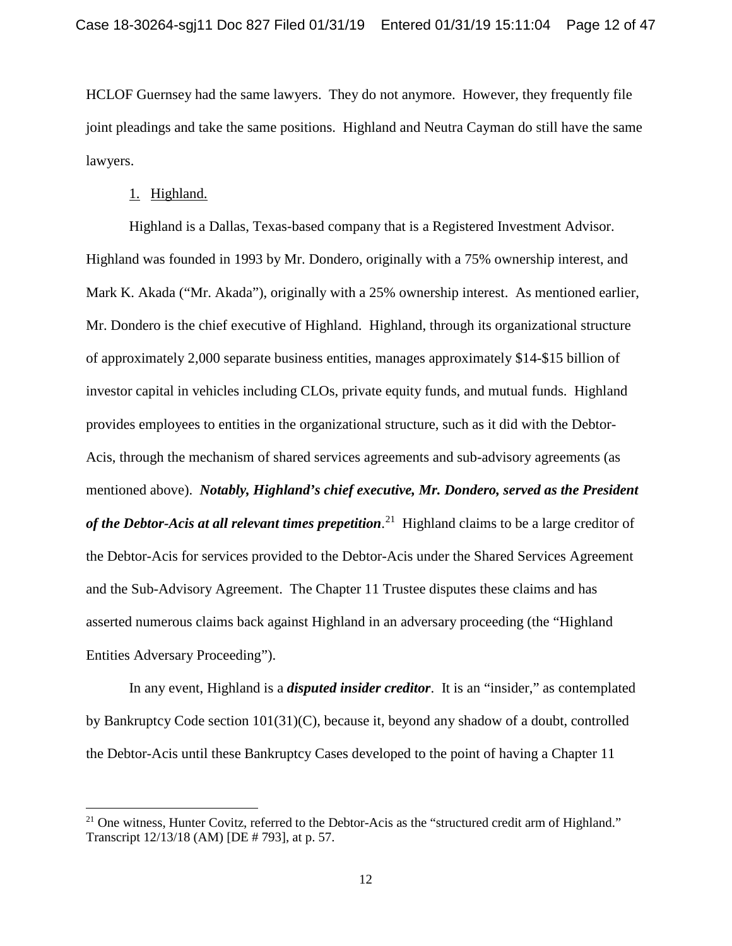HCLOF Guernsey had the same lawyers. They do not anymore. However, they frequently file joint pleadings and take the same positions. Highland and Neutra Cayman do still have the same lawyers.

### 1. Highland.

 $\overline{\phantom{a}}$ 

Highland is a Dallas, Texas-based company that is a Registered Investment Advisor. Highland was founded in 1993 by Mr. Dondero, originally with a 75% ownership interest, and Mark K. Akada ("Mr. Akada"), originally with a 25% ownership interest. As mentioned earlier, Mr. Dondero is the chief executive of Highland. Highland, through its organizational structure of approximately 2,000 separate business entities, manages approximately \$14-\$15 billion of investor capital in vehicles including CLOs, private equity funds, and mutual funds. Highland provides employees to entities in the organizational structure, such as it did with the Debtor-Acis, through the mechanism of shared services agreements and sub-advisory agreements (as mentioned above). *Notably, Highland's chief executive, Mr. Dondero, served as the President of the Debtor-Acis at all relevant times prepetition*. 21 Highland claims to be a large creditor of the Debtor-Acis for services provided to the Debtor-Acis under the Shared Services Agreement and the Sub-Advisory Agreement. The Chapter 11 Trustee disputes these claims and has asserted numerous claims back against Highland in an adversary proceeding (the "Highland Entities Adversary Proceeding").

In any event, Highland is a *disputed insider creditor*. It is an "insider," as contemplated by Bankruptcy Code section 101(31)(C), because it, beyond any shadow of a doubt, controlled the Debtor-Acis until these Bankruptcy Cases developed to the point of having a Chapter 11

<sup>&</sup>lt;sup>21</sup> One witness, Hunter Covitz, referred to the Debtor-Acis as the "structured credit arm of Highland." Transcript 12/13/18 (AM) [DE # 793], at p. 57.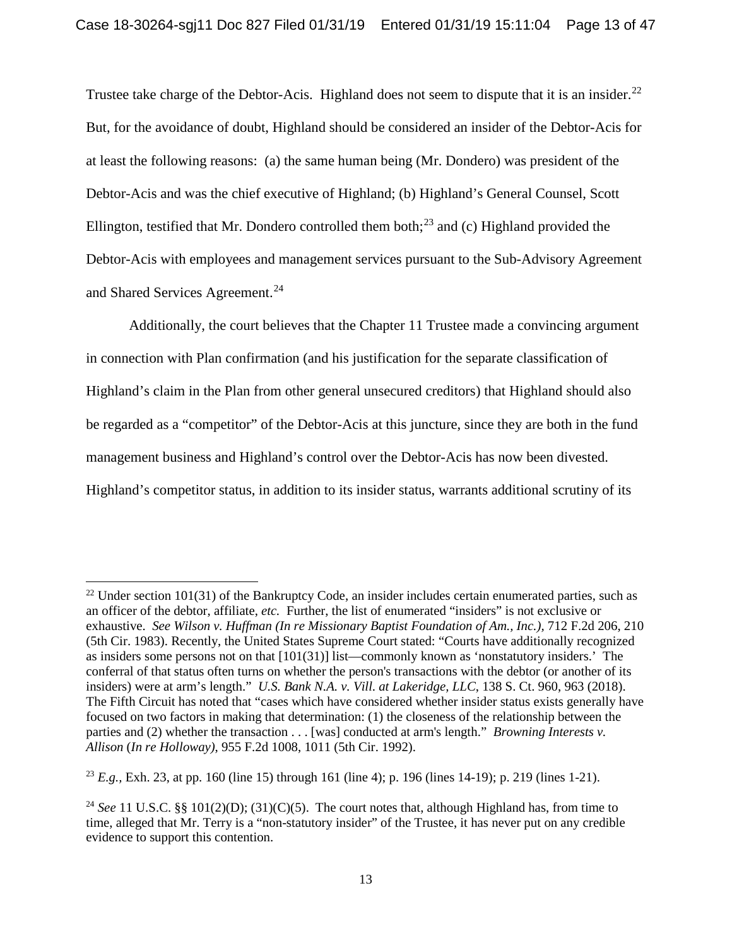Trustee take charge of the Debtor-Acis. Highland does not seem to dispute that it is an insider.<sup>22</sup> But, for the avoidance of doubt, Highland should be considered an insider of the Debtor-Acis for at least the following reasons: (a) the same human being (Mr. Dondero) was president of the Debtor-Acis and was the chief executive of Highland; (b) Highland's General Counsel, Scott Ellington, testified that Mr. Dondero controlled them both;<sup>23</sup> and (c) Highland provided the Debtor-Acis with employees and management services pursuant to the Sub-Advisory Agreement and Shared Services Agreement.<sup>24</sup>

Additionally, the court believes that the Chapter 11 Trustee made a convincing argument in connection with Plan confirmation (and his justification for the separate classification of Highland's claim in the Plan from other general unsecured creditors) that Highland should also be regarded as a "competitor" of the Debtor-Acis at this juncture, since they are both in the fund management business and Highland's control over the Debtor-Acis has now been divested. Highland's competitor status, in addition to its insider status, warrants additional scrutiny of its

 $\overline{a}$ 

<sup>&</sup>lt;sup>22</sup> Under section 101(31) of the Bankruptcy Code, an insider includes certain enumerated parties, such as an officer of the debtor, affiliate, *etc.* Further, the list of enumerated "insiders" is not exclusive or exhaustive. *See Wilson v. Huffman (In re Missionary Baptist Foundation of Am., Inc.), 712 F.2d 206, 210* (5th Cir. 1983). Recently, the United States Supreme Court stated: "Courts have additionally recognized as insiders some persons not on that [101(31)] list—commonly known as 'nonstatutory insiders.' The conferral of that status often turns on whether the person's transactions with the debtor (or another of its insiders) were at arm's length." *U.S. Bank N.A. v. Vill. at Lakeridge, LLC*, 138 S. Ct. 960, 963 (2018). The Fifth Circuit has noted that "cases which have considered whether insider status exists generally have focused on two factors in making that determination: (1) the closeness of the relationship between the parties and (2) whether the transaction . . . [was] conducted at arm's length." *Browning Interests v. Allison* (*In re Holloway)*, 955 F.2d 1008, 1011 (5th Cir. 1992).

<sup>23</sup> *E.g.,* Exh. 23, at pp. 160 (line 15) through 161 (line 4); p. 196 (lines 14-19); p. 219 (lines 1-21).

<sup>&</sup>lt;sup>24</sup> *See* 11 U.S.C. §§ 101(2)(D); (31)(C)(5). The court notes that, although Highland has, from time to time, alleged that Mr. Terry is a "non-statutory insider" of the Trustee, it has never put on any credible evidence to support this contention.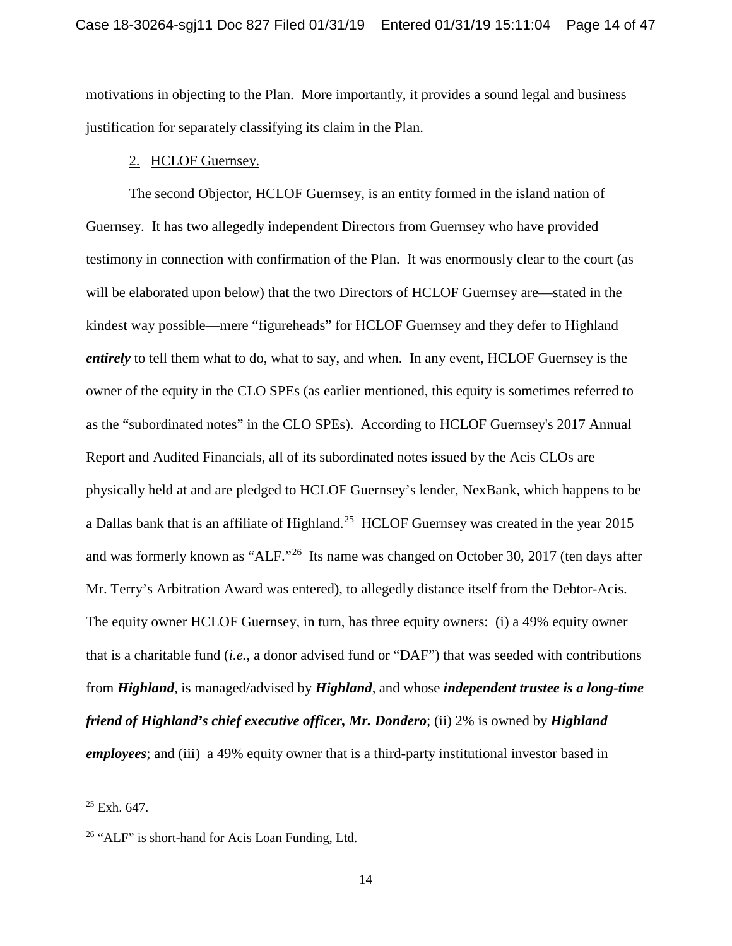motivations in objecting to the Plan. More importantly, it provides a sound legal and business justification for separately classifying its claim in the Plan.

### 2. HCLOF Guernsey.

The second Objector, HCLOF Guernsey, is an entity formed in the island nation of Guernsey. It has two allegedly independent Directors from Guernsey who have provided testimony in connection with confirmation of the Plan. It was enormously clear to the court (as will be elaborated upon below) that the two Directors of HCLOF Guernsey are—stated in the kindest way possible—mere "figureheads" for HCLOF Guernsey and they defer to Highland *entirely* to tell them what to do, what to say, and when. In any event, HCLOF Guernsey is the owner of the equity in the CLO SPEs (as earlier mentioned, this equity is sometimes referred to as the "subordinated notes" in the CLO SPEs). According to HCLOF Guernsey's 2017 Annual Report and Audited Financials, all of its subordinated notes issued by the Acis CLOs are physically held at and are pledged to HCLOF Guernsey's lender, NexBank, which happens to be a Dallas bank that is an affiliate of Highland.<sup>25</sup> HCLOF Guernsey was created in the year 2015 and was formerly known as "ALF."<sup>26</sup> Its name was changed on October 30, 2017 (ten days after Mr. Terry's Arbitration Award was entered), to allegedly distance itself from the Debtor-Acis. The equity owner HCLOF Guernsey, in turn, has three equity owners: (i) a 49% equity owner that is a charitable fund (*i.e.,* a donor advised fund or "DAF") that was seeded with contributions from *Highland*, is managed/advised by *Highland*, and whose *independent trustee is a long-time friend of Highland's chief executive officer, Mr. Dondero*; (ii) 2% is owned by *Highland employees*; and (iii) a 49% equity owner that is a third-party institutional investor based in

 $\overline{a}$ 

 $25$  Exh. 647.

<sup>26</sup> "ALF" is short-hand for Acis Loan Funding, Ltd.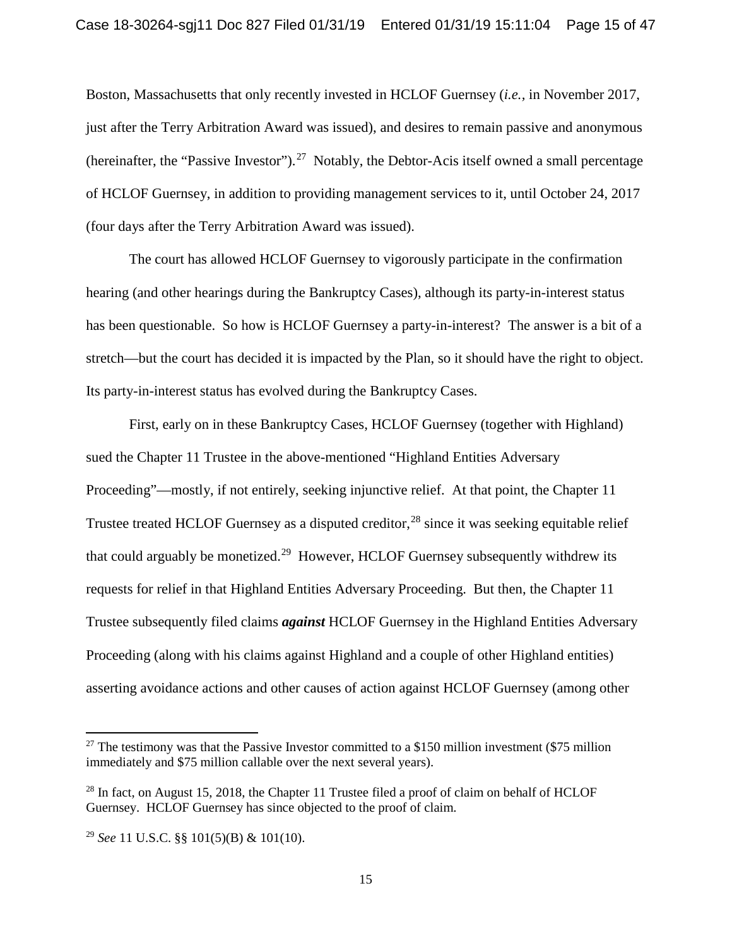Boston, Massachusetts that only recently invested in HCLOF Guernsey (*i.e.,* in November 2017, just after the Terry Arbitration Award was issued), and desires to remain passive and anonymous (hereinafter, the "Passive Investor").<sup>27</sup> Notably, the Debtor-Acis itself owned a small percentage of HCLOF Guernsey, in addition to providing management services to it, until October 24, 2017 (four days after the Terry Arbitration Award was issued).

The court has allowed HCLOF Guernsey to vigorously participate in the confirmation hearing (and other hearings during the Bankruptcy Cases), although its party-in-interest status has been questionable. So how is HCLOF Guernsey a party-in-interest? The answer is a bit of a stretch—but the court has decided it is impacted by the Plan, so it should have the right to object. Its party-in-interest status has evolved during the Bankruptcy Cases.

First, early on in these Bankruptcy Cases, HCLOF Guernsey (together with Highland) sued the Chapter 11 Trustee in the above-mentioned "Highland Entities Adversary Proceeding"—mostly, if not entirely, seeking injunctive relief. At that point, the Chapter 11 Trustee treated HCLOF Guernsey as a disputed creditor,<sup>28</sup> since it was seeking equitable relief that could arguably be monetized.<sup>29</sup> However, HCLOF Guernsey subsequently withdrew its requests for relief in that Highland Entities Adversary Proceeding. But then, the Chapter 11 Trustee subsequently filed claims *against* HCLOF Guernsey in the Highland Entities Adversary Proceeding (along with his claims against Highland and a couple of other Highland entities) asserting avoidance actions and other causes of action against HCLOF Guernsey (among other

<sup>&</sup>lt;sup>27</sup> The testimony was that the Passive Investor committed to a \$150 million investment (\$75 million immediately and \$75 million callable over the next several years).

 $^{28}$  In fact, on August 15, 2018, the Chapter 11 Trustee filed a proof of claim on behalf of HCLOF Guernsey. HCLOF Guernsey has since objected to the proof of claim.

<sup>29</sup> *See* 11 U.S.C. §§ 101(5)(B) & 101(10).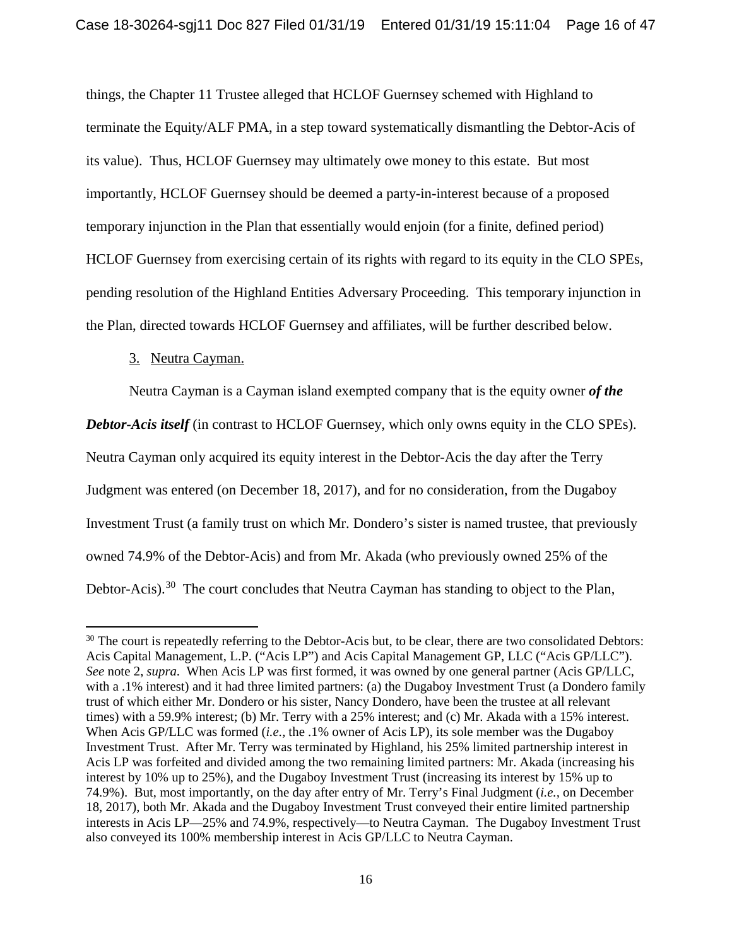things, the Chapter 11 Trustee alleged that HCLOF Guernsey schemed with Highland to terminate the Equity/ALF PMA, in a step toward systematically dismantling the Debtor-Acis of its value). Thus, HCLOF Guernsey may ultimately owe money to this estate. But most importantly, HCLOF Guernsey should be deemed a party-in-interest because of a proposed temporary injunction in the Plan that essentially would enjoin (for a finite, defined period) HCLOF Guernsey from exercising certain of its rights with regard to its equity in the CLO SPEs, pending resolution of the Highland Entities Adversary Proceeding. This temporary injunction in the Plan, directed towards HCLOF Guernsey and affiliates, will be further described below.

# 3. Neutra Cayman.

 $\overline{a}$ 

Neutra Cayman is a Cayman island exempted company that is the equity owner *of the* 

*Debtor-Acis itself* (in contrast to HCLOF Guernsey, which only owns equity in the CLO SPEs).

Neutra Cayman only acquired its equity interest in the Debtor-Acis the day after the Terry

Judgment was entered (on December 18, 2017), and for no consideration, from the Dugaboy

Investment Trust (a family trust on which Mr. Dondero's sister is named trustee, that previously

owned 74.9% of the Debtor-Acis) and from Mr. Akada (who previously owned 25% of the

Debtor-Acis).<sup>30</sup> The court concludes that Neutra Cayman has standing to object to the Plan,

<sup>&</sup>lt;sup>30</sup> The court is repeatedly referring to the Debtor-Acis but, to be clear, there are two consolidated Debtors: Acis Capital Management, L.P. ("Acis LP") and Acis Capital Management GP, LLC ("Acis GP/LLC"). *See* note 2, *supra*. When Acis LP was first formed, it was owned by one general partner (Acis GP/LLC, with a .1% interest) and it had three limited partners: (a) the Dugaboy Investment Trust (a Dondero family trust of which either Mr. Dondero or his sister, Nancy Dondero, have been the trustee at all relevant times) with a 59.9% interest; (b) Mr. Terry with a 25% interest; and (c) Mr. Akada with a 15% interest. When Acis GP/LLC was formed (*i.e.,* the .1% owner of Acis LP), its sole member was the Dugaboy Investment Trust. After Mr. Terry was terminated by Highland, his 25% limited partnership interest in Acis LP was forfeited and divided among the two remaining limited partners: Mr. Akada (increasing his interest by 10% up to 25%), and the Dugaboy Investment Trust (increasing its interest by 15% up to 74.9%). But, most importantly, on the day after entry of Mr. Terry's Final Judgment (*i.e.,* on December 18, 2017), both Mr. Akada and the Dugaboy Investment Trust conveyed their entire limited partnership interests in Acis LP—25% and 74.9%, respectively—to Neutra Cayman. The Dugaboy Investment Trust also conveyed its 100% membership interest in Acis GP/LLC to Neutra Cayman.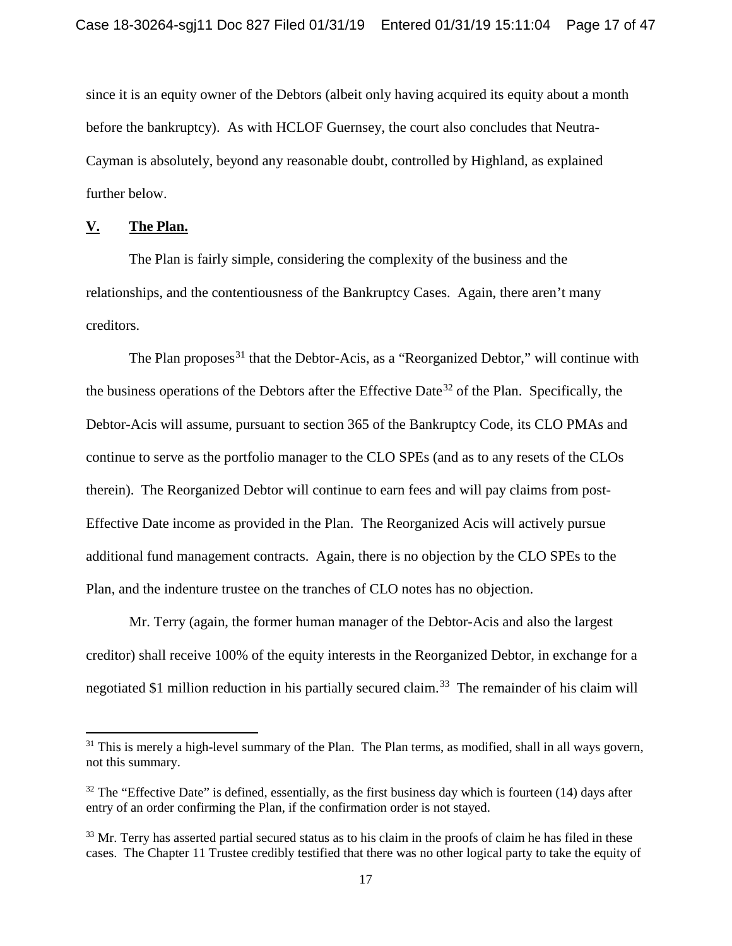since it is an equity owner of the Debtors (albeit only having acquired its equity about a month before the bankruptcy). As with HCLOF Guernsey, the court also concludes that Neutra-Cayman is absolutely, beyond any reasonable doubt, controlled by Highland, as explained further below.

## **V. The Plan.**

l

The Plan is fairly simple, considering the complexity of the business and the relationships, and the contentiousness of the Bankruptcy Cases. Again, there aren't many creditors.

The Plan proposes<sup>31</sup> that the Debtor-Acis, as a "Reorganized Debtor," will continue with the business operations of the Debtors after the Effective Date<sup>32</sup> of the Plan. Specifically, the Debtor-Acis will assume, pursuant to section 365 of the Bankruptcy Code, its CLO PMAs and continue to serve as the portfolio manager to the CLO SPEs (and as to any resets of the CLOs therein). The Reorganized Debtor will continue to earn fees and will pay claims from post-Effective Date income as provided in the Plan. The Reorganized Acis will actively pursue additional fund management contracts. Again, there is no objection by the CLO SPEs to the Plan, and the indenture trustee on the tranches of CLO notes has no objection.

Mr. Terry (again, the former human manager of the Debtor-Acis and also the largest creditor) shall receive 100% of the equity interests in the Reorganized Debtor, in exchange for a negotiated \$1 million reduction in his partially secured claim.<sup>33</sup> The remainder of his claim will

<sup>&</sup>lt;sup>31</sup> This is merely a high-level summary of the Plan. The Plan terms, as modified, shall in all ways govern, not this summary.

 $32$  The "Effective Date" is defined, essentially, as the first business day which is fourteen (14) days after entry of an order confirming the Plan, if the confirmation order is not stayed.

<sup>&</sup>lt;sup>33</sup> Mr. Terry has asserted partial secured status as to his claim in the proofs of claim he has filed in these cases. The Chapter 11 Trustee credibly testified that there was no other logical party to take the equity of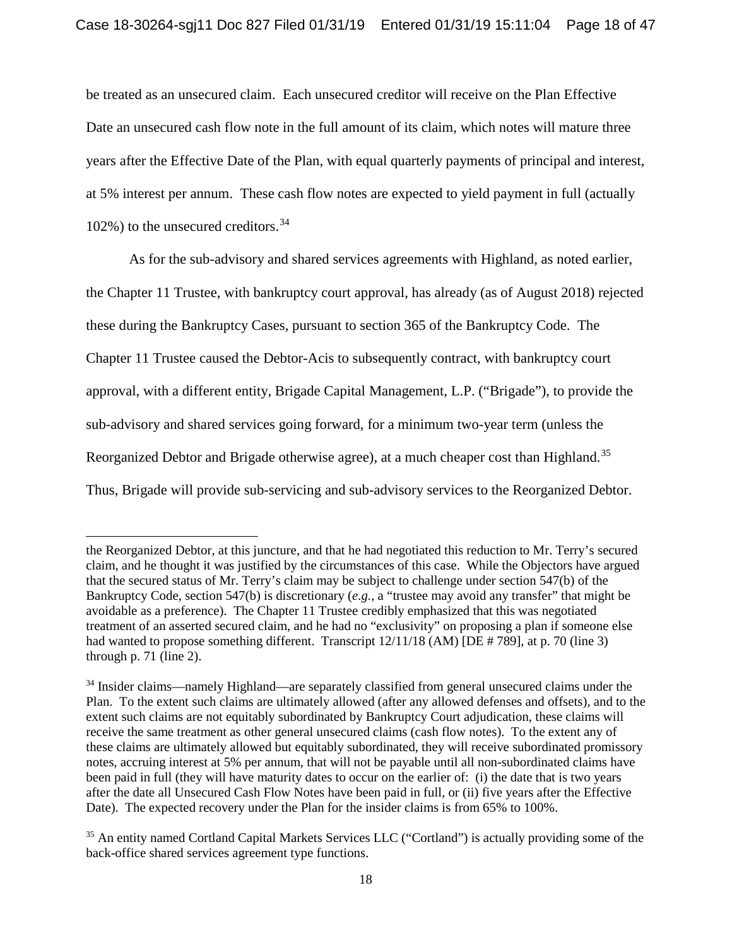be treated as an unsecured claim. Each unsecured creditor will receive on the Plan Effective Date an unsecured cash flow note in the full amount of its claim, which notes will mature three years after the Effective Date of the Plan, with equal quarterly payments of principal and interest, at 5% interest per annum. These cash flow notes are expected to yield payment in full (actually 102%) to the unsecured creditors. 34

As for the sub-advisory and shared services agreements with Highland, as noted earlier, the Chapter 11 Trustee, with bankruptcy court approval, has already (as of August 2018) rejected these during the Bankruptcy Cases, pursuant to section 365 of the Bankruptcy Code. The Chapter 11 Trustee caused the Debtor-Acis to subsequently contract, with bankruptcy court approval, with a different entity, Brigade Capital Management, L.P. ("Brigade"), to provide the sub-advisory and shared services going forward, for a minimum two-year term (unless the Reorganized Debtor and Brigade otherwise agree), at a much cheaper cost than Highland.<sup>35</sup> Thus, Brigade will provide sub-servicing and sub-advisory services to the Reorganized Debtor.

the Reorganized Debtor, at this juncture, and that he had negotiated this reduction to Mr. Terry's secured claim, and he thought it was justified by the circumstances of this case. While the Objectors have argued that the secured status of Mr. Terry's claim may be subject to challenge under section 547(b) of the Bankruptcy Code, section 547(b) is discretionary (*e.g.*, a "trustee may avoid any transfer" that might be avoidable as a preference). The Chapter 11 Trustee credibly emphasized that this was negotiated treatment of an asserted secured claim, and he had no "exclusivity" on proposing a plan if someone else had wanted to propose something different. Transcript  $12/11/18$  (AM) [DE #789], at p. 70 (line 3) through p. 71 (line 2).

<sup>&</sup>lt;sup>34</sup> Insider claims—namely Highland—are separately classified from general unsecured claims under the Plan. To the extent such claims are ultimately allowed (after any allowed defenses and offsets), and to the extent such claims are not equitably subordinated by Bankruptcy Court adjudication, these claims will receive the same treatment as other general unsecured claims (cash flow notes). To the extent any of these claims are ultimately allowed but equitably subordinated, they will receive subordinated promissory notes, accruing interest at 5% per annum, that will not be payable until all non-subordinated claims have been paid in full (they will have maturity dates to occur on the earlier of: (i) the date that is two years after the date all Unsecured Cash Flow Notes have been paid in full, or (ii) five years after the Effective Date). The expected recovery under the Plan for the insider claims is from 65% to 100%.

<sup>35</sup> An entity named Cortland Capital Markets Services LLC ("Cortland") is actually providing some of the back-office shared services agreement type functions.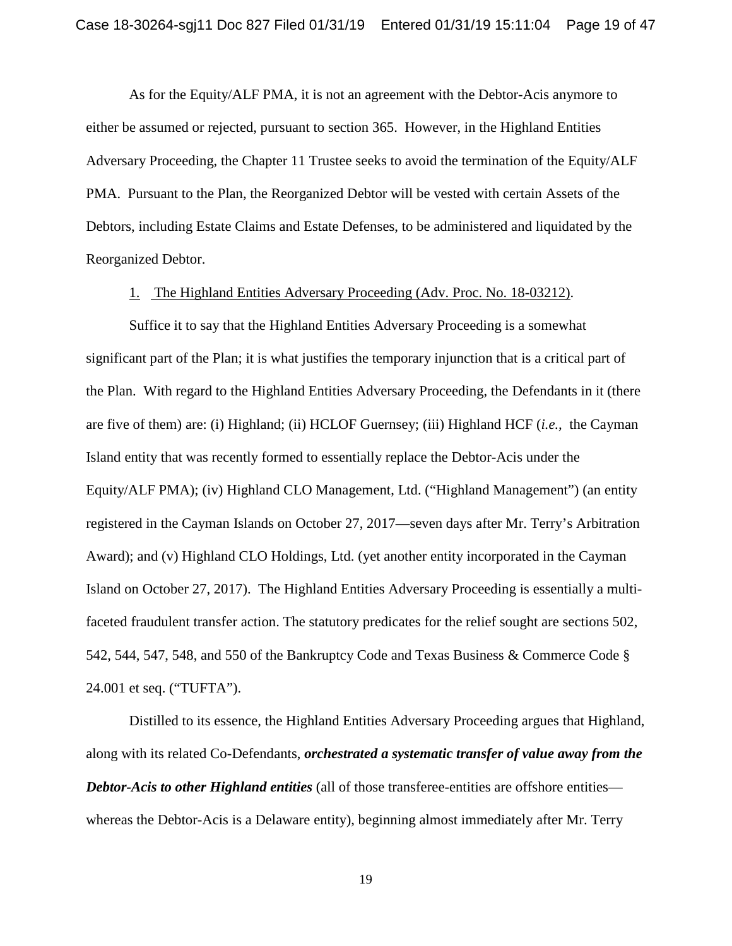As for the Equity/ALF PMA, it is not an agreement with the Debtor-Acis anymore to either be assumed or rejected, pursuant to section 365. However, in the Highland Entities Adversary Proceeding, the Chapter 11 Trustee seeks to avoid the termination of the Equity/ALF PMA. Pursuant to the Plan, the Reorganized Debtor will be vested with certain Assets of the Debtors, including Estate Claims and Estate Defenses, to be administered and liquidated by the Reorganized Debtor.

### 1. The Highland Entities Adversary Proceeding (Adv. Proc. No. 18-03212).

Suffice it to say that the Highland Entities Adversary Proceeding is a somewhat significant part of the Plan; it is what justifies the temporary injunction that is a critical part of the Plan. With regard to the Highland Entities Adversary Proceeding, the Defendants in it (there are five of them) are: (i) Highland; (ii) HCLOF Guernsey; (iii) Highland HCF (*i.e.,* the Cayman Island entity that was recently formed to essentially replace the Debtor-Acis under the Equity/ALF PMA); (iv) Highland CLO Management, Ltd. ("Highland Management") (an entity registered in the Cayman Islands on October 27, 2017—seven days after Mr. Terry's Arbitration Award); and (v) Highland CLO Holdings, Ltd. (yet another entity incorporated in the Cayman Island on October 27, 2017). The Highland Entities Adversary Proceeding is essentially a multifaceted fraudulent transfer action. The statutory predicates for the relief sought are sections 502, 542, 544, 547, 548, and 550 of the Bankruptcy Code and Texas Business & Commerce Code § 24.001 et seq. ("TUFTA").

Distilled to its essence, the Highland Entities Adversary Proceeding argues that Highland, along with its related Co-Defendants, *orchestrated a systematic transfer of value away from the Debtor-Acis to other Highland entities* (all of those transferee-entities are offshore entities whereas the Debtor-Acis is a Delaware entity), beginning almost immediately after Mr. Terry

19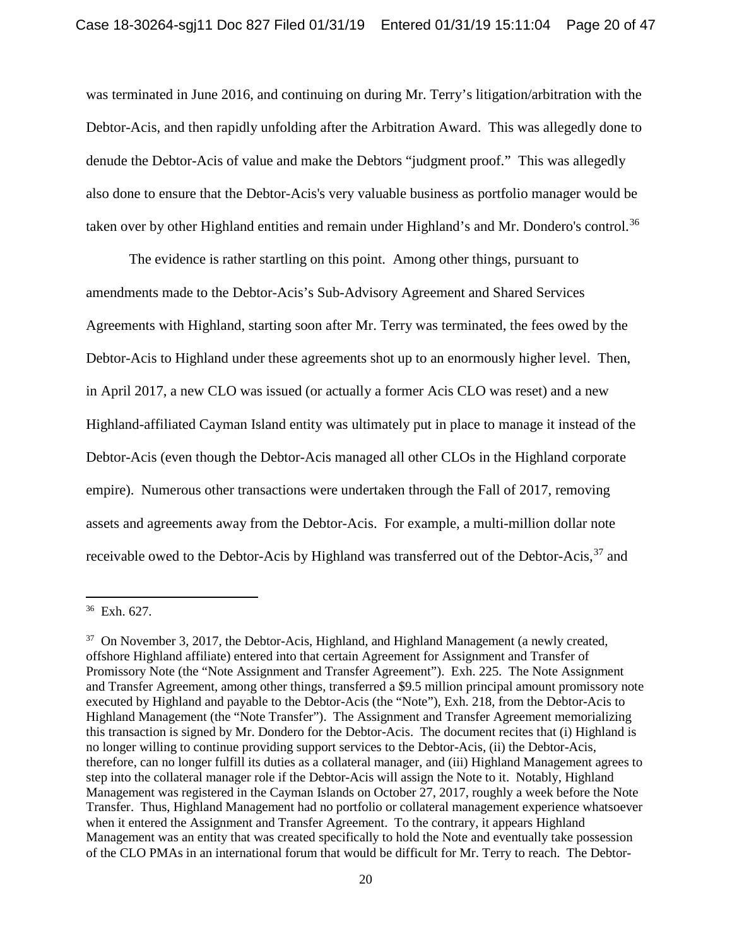was terminated in June 2016, and continuing on during Mr. Terry's litigation/arbitration with the Debtor-Acis, and then rapidly unfolding after the Arbitration Award. This was allegedly done to denude the Debtor-Acis of value and make the Debtors "judgment proof." This was allegedly also done to ensure that the Debtor-Acis's very valuable business as portfolio manager would be taken over by other Highland entities and remain under Highland's and Mr. Dondero's control.<sup>36</sup>

The evidence is rather startling on this point. Among other things, pursuant to amendments made to the Debtor-Acis's Sub-Advisory Agreement and Shared Services Agreements with Highland, starting soon after Mr. Terry was terminated, the fees owed by the Debtor-Acis to Highland under these agreements shot up to an enormously higher level. Then, in April 2017, a new CLO was issued (or actually a former Acis CLO was reset) and a new Highland-affiliated Cayman Island entity was ultimately put in place to manage it instead of the Debtor-Acis (even though the Debtor-Acis managed all other CLOs in the Highland corporate empire). Numerous other transactions were undertaken through the Fall of 2017, removing assets and agreements away from the Debtor-Acis. For example, a multi-million dollar note receivable owed to the Debtor-Acis by Highland was transferred out of the Debtor-Acis,<sup>37</sup> and

<sup>36</sup> Exh. 627.

<sup>&</sup>lt;sup>37</sup> On November 3, 2017, the Debtor-Acis, Highland, and Highland Management (a newly created, offshore Highland affiliate) entered into that certain Agreement for Assignment and Transfer of Promissory Note (the "Note Assignment and Transfer Agreement"). Exh. 225.The Note Assignment and Transfer Agreement, among other things, transferred a \$9.5 million principal amount promissory note executed by Highland and payable to the Debtor-Acis (the "Note"), Exh. 218, from the Debtor-Acis to Highland Management (the "Note Transfer"). The Assignment and Transfer Agreement memorializing this transaction is signed by Mr. Dondero for the Debtor-Acis. The document recites that (i) Highland is no longer willing to continue providing support services to the Debtor-Acis, (ii) the Debtor-Acis, therefore, can no longer fulfill its duties as a collateral manager, and (iii) Highland Management agrees to step into the collateral manager role if the Debtor-Acis will assign the Note to it. Notably, Highland Management was registered in the Cayman Islands on October 27, 2017, roughly a week before the Note Transfer. Thus, Highland Management had no portfolio or collateral management experience whatsoever when it entered the Assignment and Transfer Agreement. To the contrary, it appears Highland Management was an entity that was created specifically to hold the Note and eventually take possession of the CLO PMAs in an international forum that would be difficult for Mr. Terry to reach. The Debtor-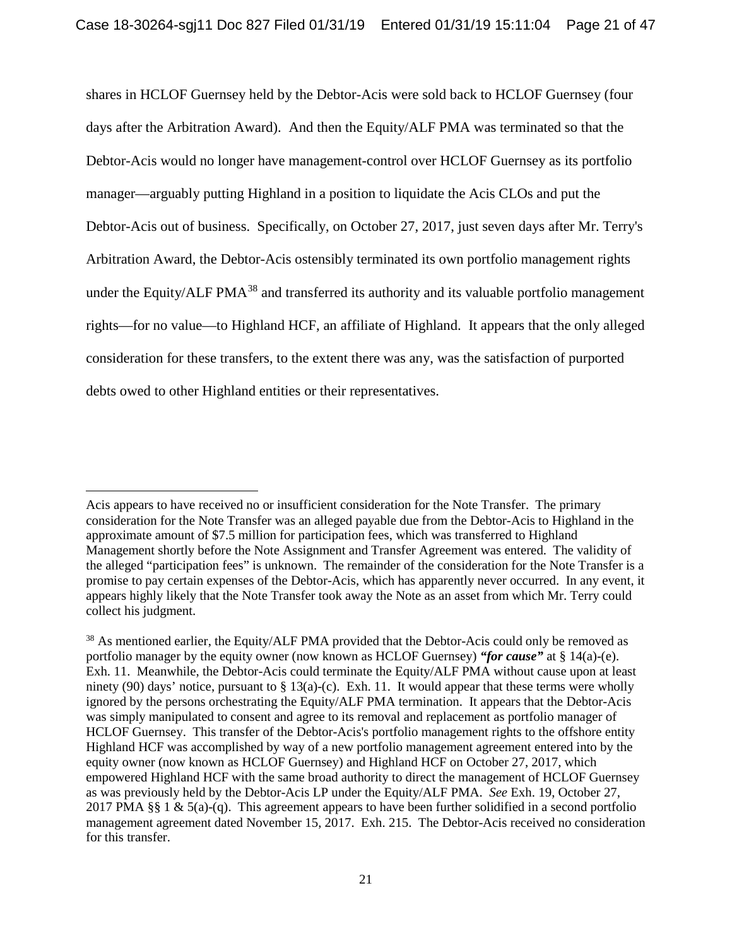shares in HCLOF Guernsey held by the Debtor-Acis were sold back to HCLOF Guernsey (four days after the Arbitration Award). And then the Equity/ALF PMA was terminated so that the Debtor-Acis would no longer have management-control over HCLOF Guernsey as its portfolio manager—arguably putting Highland in a position to liquidate the Acis CLOs and put the Debtor-Acis out of business. Specifically, on October 27, 2017, just seven days after Mr. Terry's Arbitration Award, the Debtor-Acis ostensibly terminated its own portfolio management rights under the Equity/ALF PMA<sup>38</sup> and transferred its authority and its valuable portfolio management rights—for no value—to Highland HCF, an affiliate of Highland. It appears that the only alleged consideration for these transfers, to the extent there was any, was the satisfaction of purported debts owed to other Highland entities or their representatives.

Acis appears to have received no or insufficient consideration for the Note Transfer. The primary consideration for the Note Transfer was an alleged payable due from the Debtor-Acis to Highland in the approximate amount of \$7.5 million for participation fees, which was transferred to Highland Management shortly before the Note Assignment and Transfer Agreement was entered. The validity of the alleged "participation fees" is unknown. The remainder of the consideration for the Note Transfer is a promise to pay certain expenses of the Debtor-Acis, which has apparently never occurred. In any event, it appears highly likely that the Note Transfer took away the Note as an asset from which Mr. Terry could collect his judgment.

<sup>&</sup>lt;sup>38</sup> As mentioned earlier, the Equity/ALF PMA provided that the Debtor-Acis could only be removed as portfolio manager by the equity owner (now known as HCLOF Guernsey) *"for cause"* at § 14(a)-(e). Exh. 11. Meanwhile, the Debtor-Acis could terminate the Equity/ALF PMA without cause upon at least ninety (90) days' notice, pursuant to  $\S 13(a)$ -(c). Exh. 11. It would appear that these terms were wholly ignored by the persons orchestrating the Equity/ALF PMA termination. It appears that the Debtor-Acis was simply manipulated to consent and agree to its removal and replacement as portfolio manager of HCLOF Guernsey. This transfer of the Debtor-Acis's portfolio management rights to the offshore entity Highland HCF was accomplished by way of a new portfolio management agreement entered into by the equity owner (now known as HCLOF Guernsey) and Highland HCF on October 27, 2017, which empowered Highland HCF with the same broad authority to direct the management of HCLOF Guernsey as was previously held by the Debtor-Acis LP under the Equity/ALF PMA. *See* Exh. 19, October 27, 2017 PMA §§ 1 & 5(a)-(q). This agreement appears to have been further solidified in a second portfolio management agreement dated November 15, 2017. Exh. 215. The Debtor-Acis received no consideration for this transfer.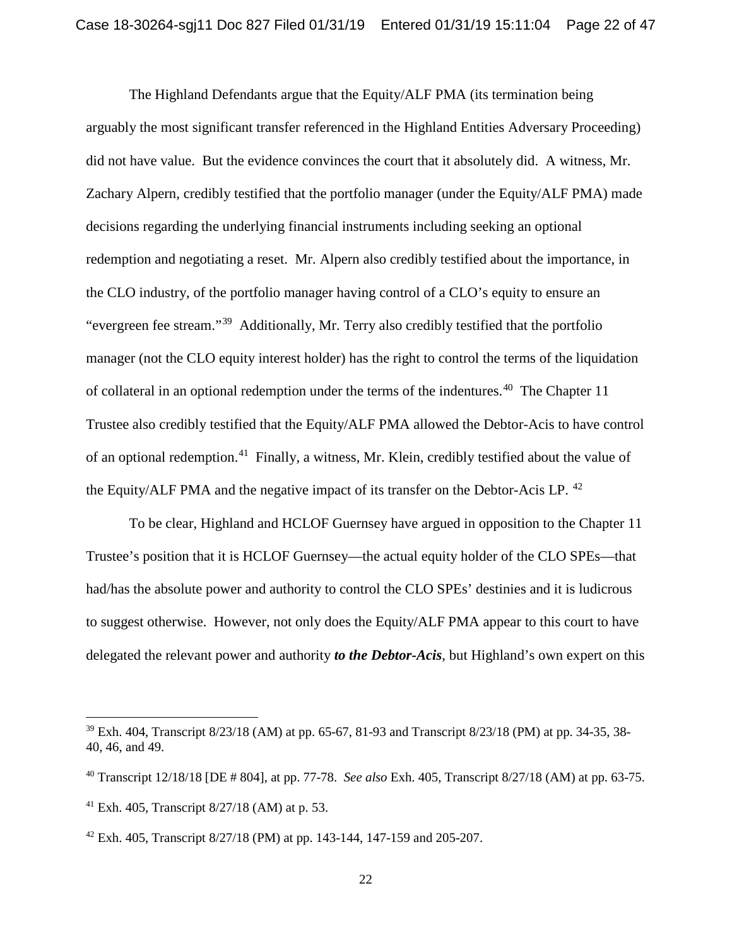The Highland Defendants argue that the Equity/ALF PMA (its termination being arguably the most significant transfer referenced in the Highland Entities Adversary Proceeding) did not have value. But the evidence convinces the court that it absolutely did. A witness, Mr. Zachary Alpern, credibly testified that the portfolio manager (under the Equity/ALF PMA) made decisions regarding the underlying financial instruments including seeking an optional redemption and negotiating a reset. Mr. Alpern also credibly testified about the importance, in the CLO industry, of the portfolio manager having control of a CLO's equity to ensure an "evergreen fee stream."39 Additionally, Mr. Terry also credibly testified that the portfolio manager (not the CLO equity interest holder) has the right to control the terms of the liquidation of collateral in an optional redemption under the terms of the indentures.<sup>40</sup> The Chapter 11 Trustee also credibly testified that the Equity/ALF PMA allowed the Debtor-Acis to have control of an optional redemption.41 Finally, a witness, Mr. Klein, credibly testified about the value of the Equity/ALF PMA and the negative impact of its transfer on the Debtor-Acis LP. <sup>42</sup>

To be clear, Highland and HCLOF Guernsey have argued in opposition to the Chapter 11 Trustee's position that it is HCLOF Guernsey—the actual equity holder of the CLO SPEs—that had/has the absolute power and authority to control the CLO SPEs' destinies and it is ludicrous to suggest otherwise. However, not only does the Equity/ALF PMA appear to this court to have delegated the relevant power and authority *to the Debtor-Acis*, but Highland's own expert on this

 $39$  Exh. 404, Transcript 8/23/18 (AM) at pp. 65-67, 81-93 and Transcript 8/23/18 (PM) at pp. 34-35, 38-40, 46, and 49.

<sup>40</sup> Transcript 12/18/18 [DE # 804], at pp. 77-78. *See also* Exh. 405, Transcript 8/27/18 (AM) at pp. 63-75.

<sup>&</sup>lt;sup>41</sup> Exh. 405, Transcript  $8/27/18$  (AM) at p. 53.

 $42$  Exh. 405, Transcript 8/27/18 (PM) at pp. 143-144, 147-159 and 205-207.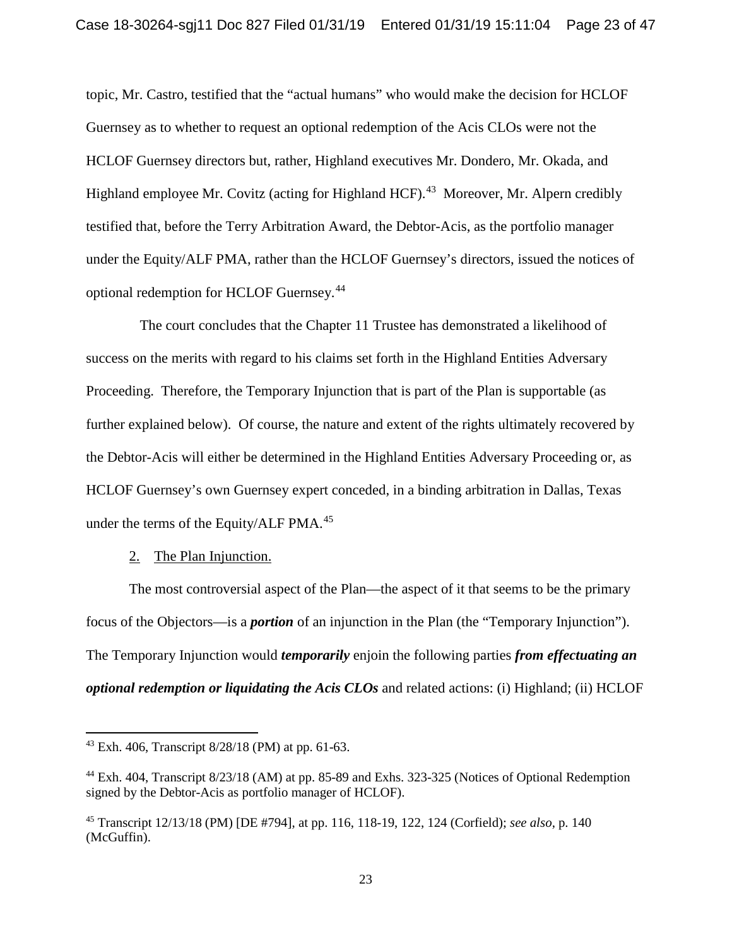topic, Mr. Castro, testified that the "actual humans" who would make the decision for HCLOF Guernsey as to whether to request an optional redemption of the Acis CLOs were not the HCLOF Guernsey directors but, rather, Highland executives Mr. Dondero, Mr. Okada, and Highland employee Mr. Covitz (acting for Highland HCF).<sup>43</sup> Moreover, Mr. Alpern credibly testified that, before the Terry Arbitration Award, the Debtor-Acis, as the portfolio manager under the Equity/ALF PMA, rather than the HCLOF Guernsey's directors, issued the notices of optional redemption for HCLOF Guernsey.44

 The court concludes that the Chapter 11 Trustee has demonstrated a likelihood of success on the merits with regard to his claims set forth in the Highland Entities Adversary Proceeding. Therefore, the Temporary Injunction that is part of the Plan is supportable (as further explained below). Of course, the nature and extent of the rights ultimately recovered by the Debtor-Acis will either be determined in the Highland Entities Adversary Proceeding or, as HCLOF Guernsey's own Guernsey expert conceded, in a binding arbitration in Dallas, Texas under the terms of the Equity/ALF PMA.<sup>45</sup>

## 2. The Plan Injunction.

The most controversial aspect of the Plan—the aspect of it that seems to be the primary focus of the Objectors—is a *portion* of an injunction in the Plan (the "Temporary Injunction"). The Temporary Injunction would *temporarily* enjoin the following parties *from effectuating an optional redemption or liquidating the Acis CLOs* and related actions: (i) Highland; (ii) HCLOF

<sup>43</sup> Exh. 406, Transcript 8/28/18 (PM) at pp. 61-63.

<sup>44</sup> Exh. 404, Transcript 8/23/18 (AM) at pp. 85-89 and Exhs. 323-325 (Notices of Optional Redemption signed by the Debtor-Acis as portfolio manager of HCLOF).

<sup>45</sup> Transcript 12/13/18 (PM) [DE #794], at pp. 116, 118-19, 122, 124 (Corfield); *see also*, p. 140 (McGuffin).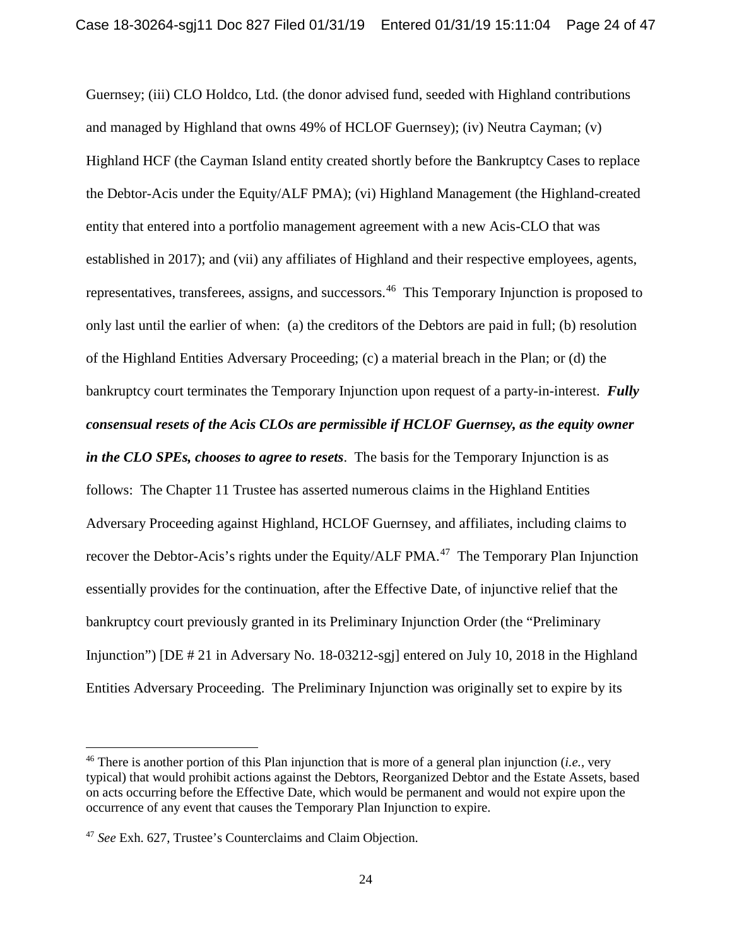Guernsey; (iii) CLO Holdco, Ltd. (the donor advised fund, seeded with Highland contributions and managed by Highland that owns 49% of HCLOF Guernsey); (iv) Neutra Cayman; (v) Highland HCF (the Cayman Island entity created shortly before the Bankruptcy Cases to replace the Debtor-Acis under the Equity/ALF PMA); (vi) Highland Management (the Highland-created entity that entered into a portfolio management agreement with a new Acis-CLO that was established in 2017); and (vii) any affiliates of Highland and their respective employees, agents, representatives, transferees, assigns, and successors. <sup>46</sup> This Temporary Injunction is proposed to only last until the earlier of when: (a) the creditors of the Debtors are paid in full; (b) resolution of the Highland Entities Adversary Proceeding; (c) a material breach in the Plan; or (d) the bankruptcy court terminates the Temporary Injunction upon request of a party-in-interest. *Fully consensual resets of the Acis CLOs are permissible if HCLOF Guernsey, as the equity owner in the CLO SPEs, chooses to agree to resets*. The basis for the Temporary Injunction is as follows: The Chapter 11 Trustee has asserted numerous claims in the Highland Entities Adversary Proceeding against Highland, HCLOF Guernsey, and affiliates, including claims to recover the Debtor-Acis's rights under the Equity/ALF PMA.<sup>47</sup> The Temporary Plan Injunction essentially provides for the continuation, after the Effective Date, of injunctive relief that the bankruptcy court previously granted in its Preliminary Injunction Order (the "Preliminary Injunction") [DE # 21 in Adversary No. 18-03212-sgj] entered on July 10, 2018 in the Highland Entities Adversary Proceeding. The Preliminary Injunction was originally set to expire by its

<sup>46</sup> There is another portion of this Plan injunction that is more of a general plan injunction (*i.e.,* very typical) that would prohibit actions against the Debtors, Reorganized Debtor and the Estate Assets, based on acts occurring before the Effective Date, which would be permanent and would not expire upon the occurrence of any event that causes the Temporary Plan Injunction to expire.

<sup>47</sup> *See* Exh. 627, Trustee's Counterclaims and Claim Objection.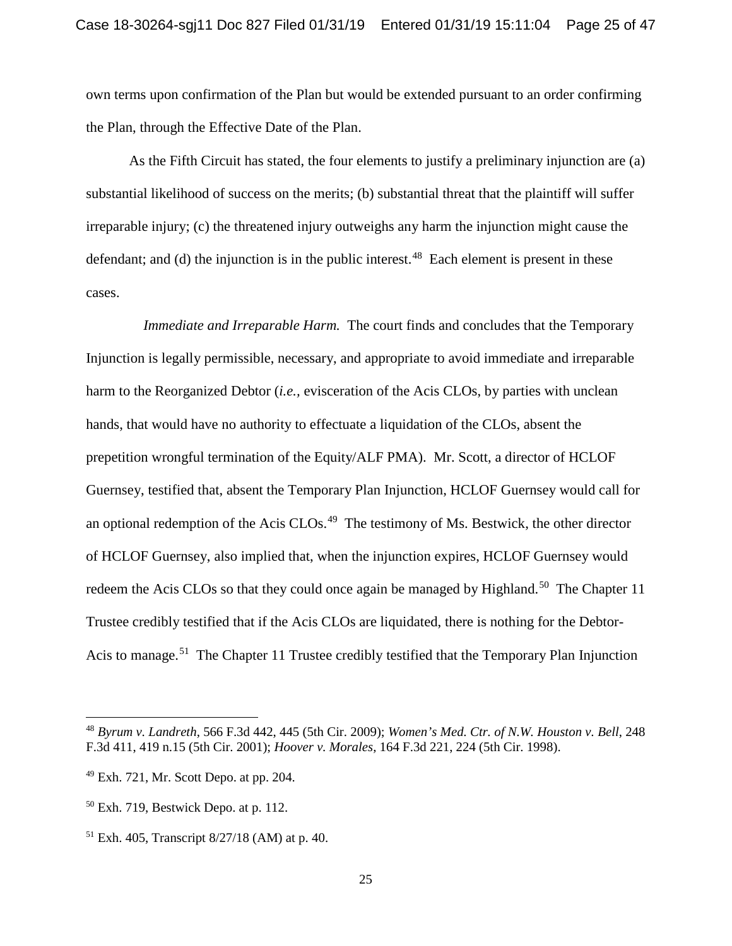own terms upon confirmation of the Plan but would be extended pursuant to an order confirming the Plan, through the Effective Date of the Plan.

As the Fifth Circuit has stated, the four elements to justify a preliminary injunction are (a) substantial likelihood of success on the merits; (b) substantial threat that the plaintiff will suffer irreparable injury; (c) the threatened injury outweighs any harm the injunction might cause the defendant; and (d) the injunction is in the public interest.<sup>48</sup> Each element is present in these cases.

 *Immediate and Irreparable Harm.* The court finds and concludes that the Temporary Injunction is legally permissible, necessary, and appropriate to avoid immediate and irreparable harm to the Reorganized Debtor (*i.e.,* evisceration of the Acis CLOs, by parties with unclean hands, that would have no authority to effectuate a liquidation of the CLOs, absent the prepetition wrongful termination of the Equity/ALF PMA). Mr. Scott, a director of HCLOF Guernsey, testified that, absent the Temporary Plan Injunction, HCLOF Guernsey would call for an optional redemption of the Acis CLOs.<sup>49</sup> The testimony of Ms. Bestwick, the other director of HCLOF Guernsey, also implied that, when the injunction expires, HCLOF Guernsey would redeem the Acis CLOs so that they could once again be managed by Highland.<sup>50</sup> The Chapter 11 Trustee credibly testified that if the Acis CLOs are liquidated, there is nothing for the Debtor-Acis to manage.<sup>51</sup> The Chapter 11 Trustee credibly testified that the Temporary Plan Injunction

<sup>48</sup> *Byrum v. Landreth*, 566 F.3d 442, 445 (5th Cir. 2009); *Women's Med. Ctr. of N.W. Houston v. Bell*, 248 F.3d 411, 419 n.15 (5th Cir. 2001); *Hoover v. Morales*, 164 F.3d 221, 224 (5th Cir. 1998).

<sup>49</sup> Exh. 721, Mr. Scott Depo. at pp. 204.

<sup>50</sup> Exh. 719, Bestwick Depo. at p. 112.

<sup>51</sup> Exh. 405, Transcript 8/27/18 (AM) at p. 40.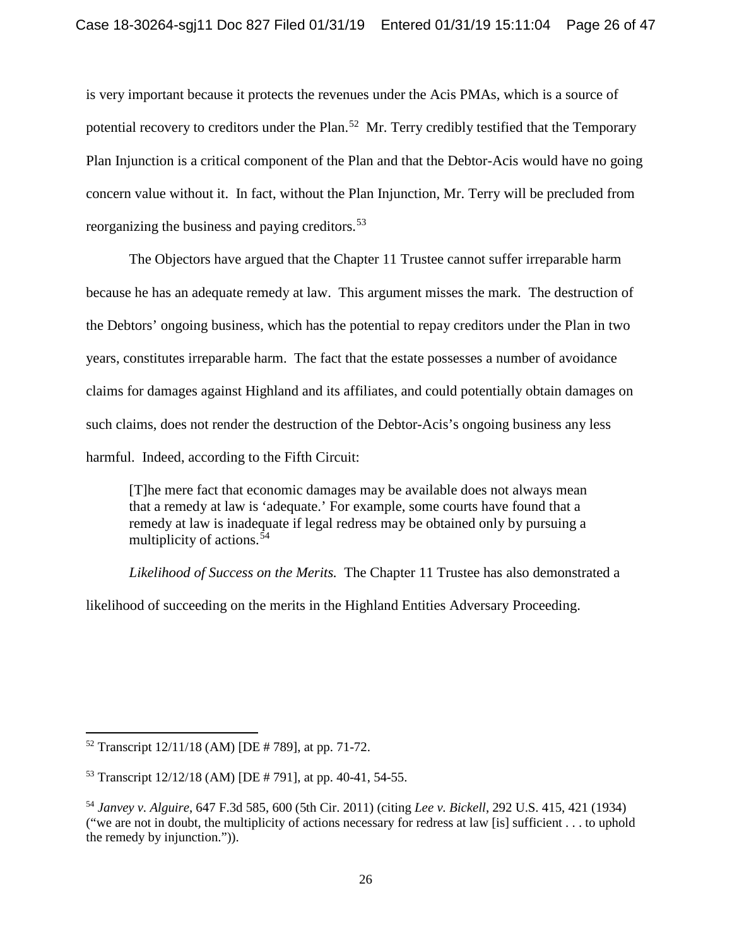is very important because it protects the revenues under the Acis PMAs, which is a source of potential recovery to creditors under the Plan.<sup>52</sup> Mr. Terry credibly testified that the Temporary Plan Injunction is a critical component of the Plan and that the Debtor-Acis would have no going concern value without it. In fact, without the Plan Injunction, Mr. Terry will be precluded from reorganizing the business and paying creditors.<sup>53</sup>

The Objectors have argued that the Chapter 11 Trustee cannot suffer irreparable harm because he has an adequate remedy at law. This argument misses the mark. The destruction of the Debtors' ongoing business, which has the potential to repay creditors under the Plan in two years, constitutes irreparable harm. The fact that the estate possesses a number of avoidance claims for damages against Highland and its affiliates, and could potentially obtain damages on such claims, does not render the destruction of the Debtor-Acis's ongoing business any less harmful. Indeed, according to the Fifth Circuit:

[T]he mere fact that economic damages may be available does not always mean that a remedy at law is 'adequate.' For example, some courts have found that a remedy at law is inadequate if legal redress may be obtained only by pursuing a multiplicity of actions.<sup>54</sup>

*Likelihood of Success on the Merits.* The Chapter 11 Trustee has also demonstrated a

likelihood of succeeding on the merits in the Highland Entities Adversary Proceeding.

<sup>52</sup> Transcript 12/11/18 (AM) [DE # 789], at pp. 71-72.

<sup>53</sup> Transcript 12/12/18 (AM) [DE # 791], at pp. 40-41, 54-55.

<sup>54</sup> *Janvey v. Alguire*, 647 F.3d 585, 600 (5th Cir. 2011) (citing *Lee v. Bickell*, 292 U.S. 415, 421 (1934) ("we are not in doubt, the multiplicity of actions necessary for redress at law [is] sufficient . . . to uphold the remedy by injunction.")).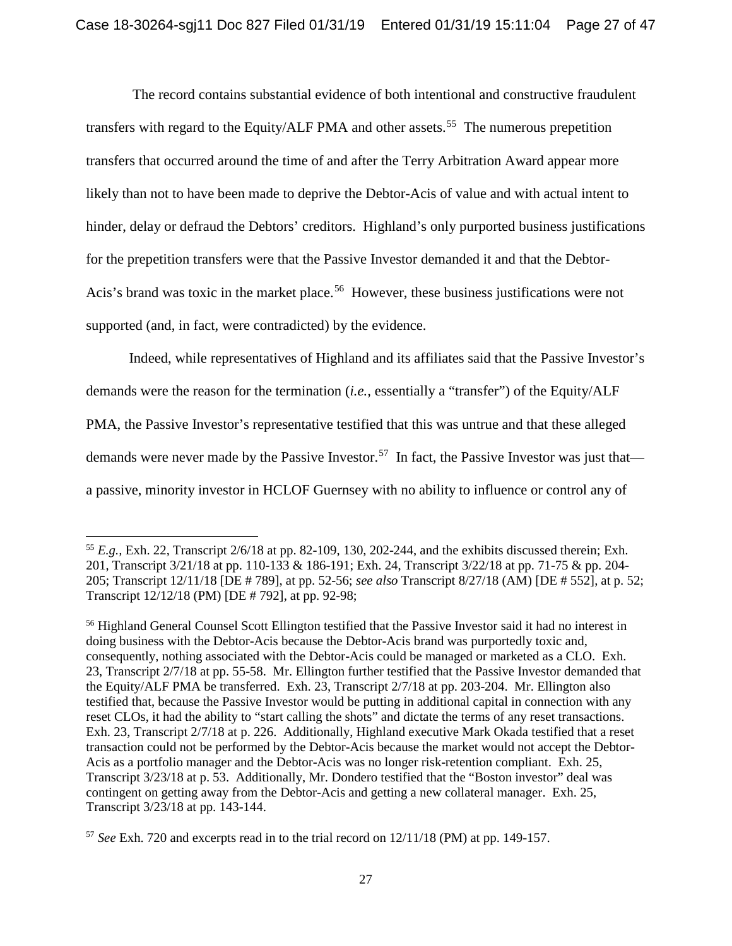The record contains substantial evidence of both intentional and constructive fraudulent transfers with regard to the Equity/ALF PMA and other assets.<sup>55</sup> The numerous prepetition transfers that occurred around the time of and after the Terry Arbitration Award appear more likely than not to have been made to deprive the Debtor-Acis of value and with actual intent to hinder, delay or defraud the Debtors' creditors. Highland's only purported business justifications for the prepetition transfers were that the Passive Investor demanded it and that the Debtor-Acis's brand was toxic in the market place.<sup>56</sup> However, these business justifications were not supported (and, in fact, were contradicted) by the evidence.

Indeed, while representatives of Highland and its affiliates said that the Passive Investor's demands were the reason for the termination (*i.e.,* essentially a "transfer") of the Equity/ALF PMA, the Passive Investor's representative testified that this was untrue and that these alleged demands were never made by the Passive Investor.<sup>57</sup> In fact, the Passive Investor was just that a passive, minority investor in HCLOF Guernsey with no ability to influence or control any of

l <sup>55</sup>  $E.g.,$  Exh. 22, Transcript  $2/6/18$  at pp. 82-109, 130, 202-244, and the exhibits discussed therein; Exh. 201, Transcript 3/21/18 at pp. 110-133 & 186-191; Exh. 24, Transcript 3/22/18 at pp. 71-75 & pp. 204- 205; Transcript 12/11/18 [DE # 789], at pp. 52-56; *see also* Transcript 8/27/18 (AM) [DE # 552], at p. 52; Transcript 12/12/18 (PM) [DE # 792], at pp. 92-98;

<sup>&</sup>lt;sup>56</sup> Highland General Counsel Scott Ellington testified that the Passive Investor said it had no interest in doing business with the Debtor-Acis because the Debtor-Acis brand was purportedly toxic and, consequently, nothing associated with the Debtor-Acis could be managed or marketed as a CLO. Exh. 23, Transcript 2/7/18 at pp. 55-58. Mr. Ellington further testified that the Passive Investor demanded that the Equity/ALF PMA be transferred. Exh. 23, Transcript 2/7/18 at pp. 203-204. Mr. Ellington also testified that, because the Passive Investor would be putting in additional capital in connection with any reset CLOs, it had the ability to "start calling the shots" and dictate the terms of any reset transactions. Exh. 23, Transcript 2/7/18 at p. 226. Additionally, Highland executive Mark Okada testified that a reset transaction could not be performed by the Debtor-Acis because the market would not accept the Debtor-Acis as a portfolio manager and the Debtor-Acis was no longer risk-retention compliant. Exh. 25, Transcript 3/23/18 at p. 53. Additionally, Mr. Dondero testified that the "Boston investor" deal was contingent on getting away from the Debtor-Acis and getting a new collateral manager. Exh. 25, Transcript 3/23/18 at pp. 143-144.

<sup>57</sup> *See* Exh. 720 and excerpts read in to the trial record on 12/11/18 (PM) at pp. 149-157.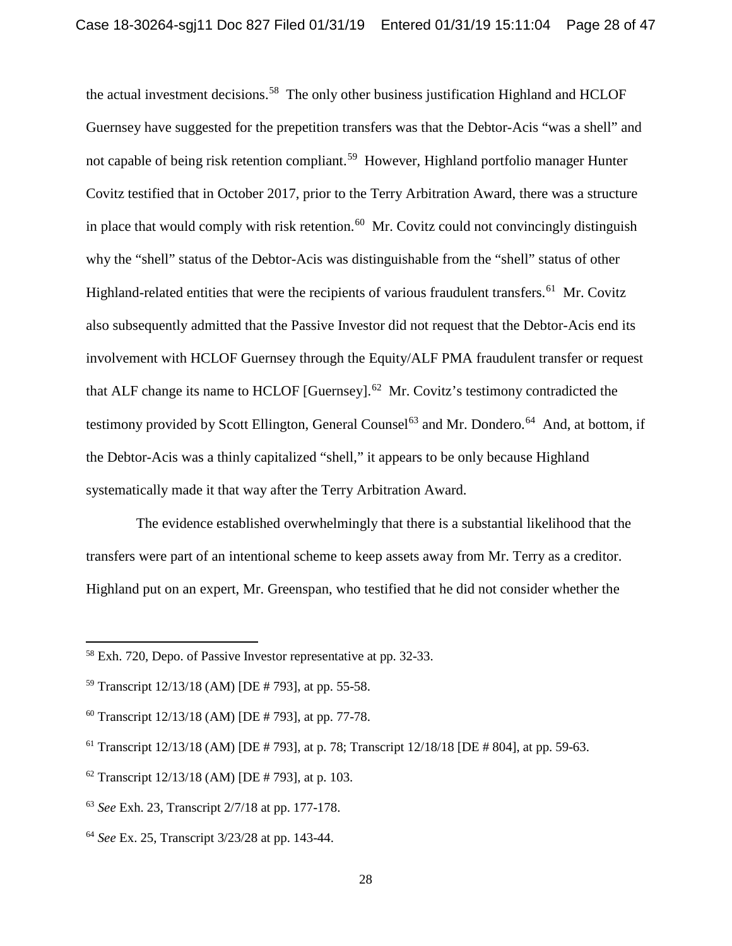the actual investment decisions.<sup>58</sup> The only other business justification Highland and HCLOF Guernsey have suggested for the prepetition transfers was that the Debtor-Acis "was a shell" and not capable of being risk retention compliant.<sup>59</sup> However, Highland portfolio manager Hunter Covitz testified that in October 2017, prior to the Terry Arbitration Award, there was a structure in place that would comply with risk retention.<sup>60</sup> Mr. Covitz could not convincingly distinguish why the "shell" status of the Debtor-Acis was distinguishable from the "shell" status of other Highland-related entities that were the recipients of various fraudulent transfers.<sup>61</sup> Mr. Covitz also subsequently admitted that the Passive Investor did not request that the Debtor-Acis end its involvement with HCLOF Guernsey through the Equity/ALF PMA fraudulent transfer or request that ALF change its name to HCLOF [Guernsey]. $^{62}$  Mr. Covitz's testimony contradicted the testimony provided by Scott Ellington, General Counsel<sup>63</sup> and Mr. Dondero.<sup>64</sup> And, at bottom, if the Debtor-Acis was a thinly capitalized "shell," it appears to be only because Highland systematically made it that way after the Terry Arbitration Award.

The evidence established overwhelmingly that there is a substantial likelihood that the transfers were part of an intentional scheme to keep assets away from Mr. Terry as a creditor. Highland put on an expert, Mr. Greenspan, who testified that he did not consider whether the

<sup>58</sup> Exh. 720, Depo. of Passive Investor representative at pp. 32-33.

<sup>59</sup> Transcript 12/13/18 (AM) [DE # 793], at pp. 55-58.

 $60$  Transcript  $12/13/18$  (AM) [DE # 793], at pp. 77-78.

<sup>61</sup> Transcript 12/13/18 (AM) [DE # 793], at p. 78; Transcript 12/18/18 [DE # 804], at pp. 59-63.

 $62$  Transcript  $12/13/18$  (AM) [DE # 793], at p. 103.

<sup>63</sup> *See* Exh. 23, Transcript 2/7/18 at pp. 177-178.

<sup>64</sup> *See* Ex. 25, Transcript 3/23/28 at pp. 143-44.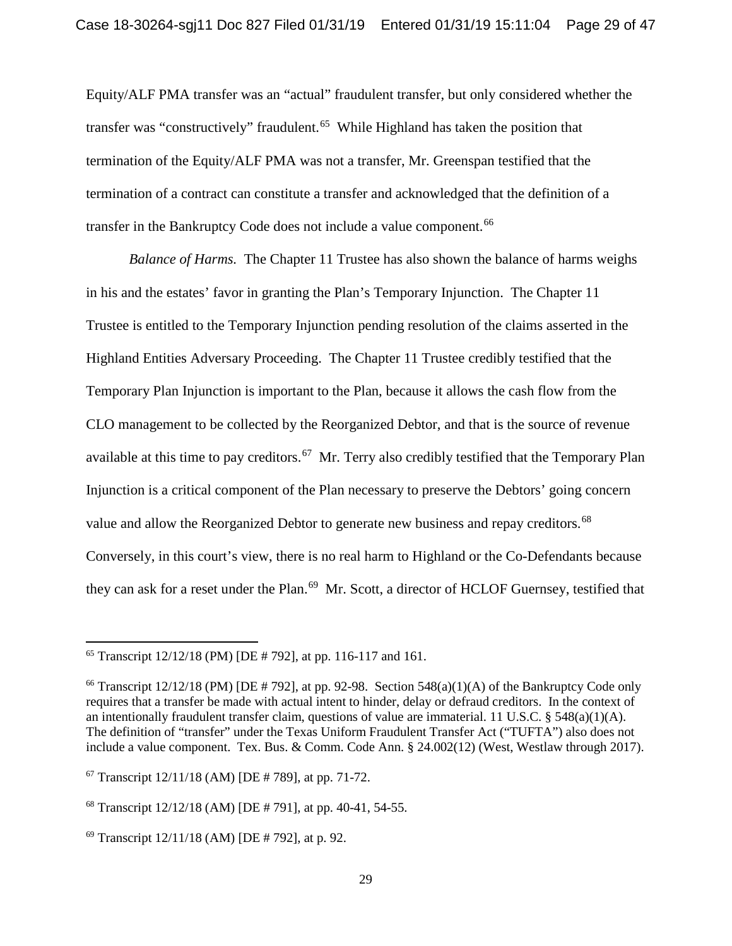Equity/ALF PMA transfer was an "actual" fraudulent transfer, but only considered whether the transfer was "constructively" fraudulent.<sup>65</sup> While Highland has taken the position that termination of the Equity/ALF PMA was not a transfer, Mr. Greenspan testified that the termination of a contract can constitute a transfer and acknowledged that the definition of a transfer in the Bankruptcy Code does not include a value component.<sup>66</sup>

*Balance of Harms.* The Chapter 11 Trustee has also shown the balance of harms weighs in his and the estates' favor in granting the Plan's Temporary Injunction. The Chapter 11 Trustee is entitled to the Temporary Injunction pending resolution of the claims asserted in the Highland Entities Adversary Proceeding. The Chapter 11 Trustee credibly testified that the Temporary Plan Injunction is important to the Plan, because it allows the cash flow from the CLO management to be collected by the Reorganized Debtor, and that is the source of revenue available at this time to pay creditors.<sup>67</sup> Mr. Terry also credibly testified that the Temporary Plan Injunction is a critical component of the Plan necessary to preserve the Debtors' going concern value and allow the Reorganized Debtor to generate new business and repay creditors.<sup>68</sup> Conversely, in this court's view, there is no real harm to Highland or the Co-Defendants because they can ask for a reset under the Plan.<sup>69</sup> Mr. Scott, a director of HCLOF Guernsey, testified that

<sup>&</sup>lt;sup>65</sup> Transcript  $12/12/18$  (PM) [DE # 792], at pp. 116-117 and 161.

<sup>&</sup>lt;sup>66</sup> Transcript  $12/12/18$  (PM) [DE # 792], at pp. 92-98. Section 548(a)(1)(A) of the Bankruptcy Code only requires that a transfer be made with actual intent to hinder, delay or defraud creditors. In the context of an intentionally fraudulent transfer claim, questions of value are immaterial. 11 U.S.C. §  $548(a)(1)(A)$ . The definition of "transfer" under the Texas Uniform Fraudulent Transfer Act ("TUFTA") also does not include a value component. Tex. Bus. & Comm. Code Ann. § 24.002(12) (West, Westlaw through 2017).

 $67$  Transcript  $12/11/18$  (AM) [DE # 789], at pp. 71-72.

<sup>68</sup> Transcript 12/12/18 (AM) [DE # 791], at pp. 40-41, 54-55.

 $69$  Transcript  $12/11/18$  (AM) [DE # 792], at p. 92.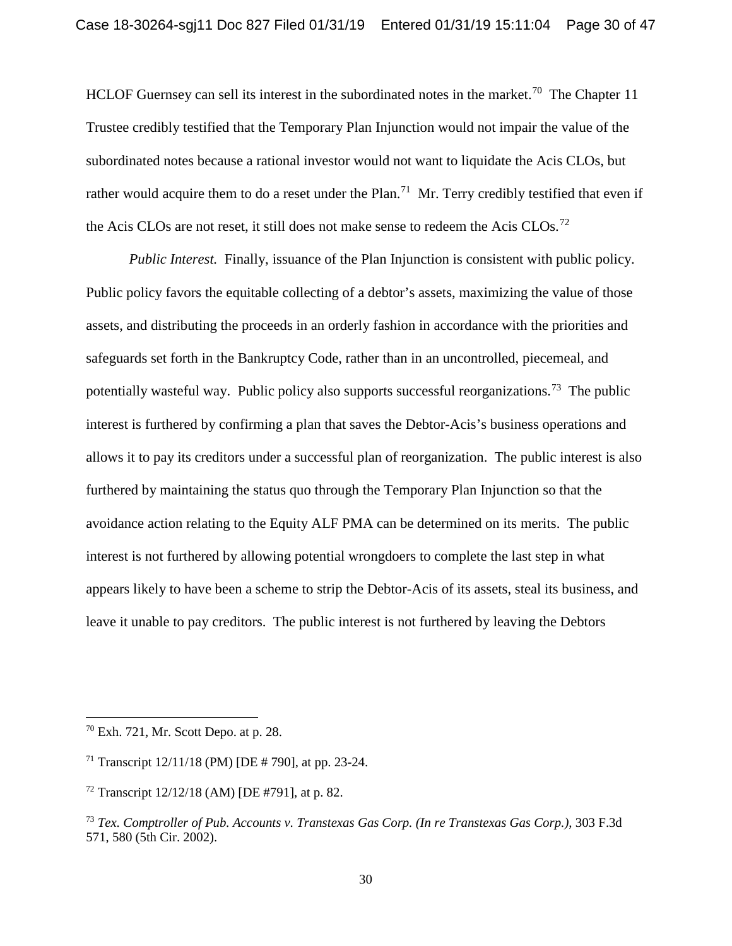HCLOF Guernsey can sell its interest in the subordinated notes in the market.<sup>70</sup> The Chapter 11 Trustee credibly testified that the Temporary Plan Injunction would not impair the value of the subordinated notes because a rational investor would not want to liquidate the Acis CLOs, but rather would acquire them to do a reset under the Plan.<sup>71</sup> Mr. Terry credibly testified that even if the Acis CLOs are not reset, it still does not make sense to redeem the Acis CLOs.<sup>72</sup>

*Public Interest.* Finally, issuance of the Plan Injunction is consistent with public policy. Public policy favors the equitable collecting of a debtor's assets, maximizing the value of those assets, and distributing the proceeds in an orderly fashion in accordance with the priorities and safeguards set forth in the Bankruptcy Code, rather than in an uncontrolled, piecemeal, and potentially wasteful way. Public policy also supports successful reorganizations.<sup>73</sup> The public interest is furthered by confirming a plan that saves the Debtor-Acis's business operations and allows it to pay its creditors under a successful plan of reorganization. The public interest is also furthered by maintaining the status quo through the Temporary Plan Injunction so that the avoidance action relating to the Equity ALF PMA can be determined on its merits. The public interest is not furthered by allowing potential wrongdoers to complete the last step in what appears likely to have been a scheme to strip the Debtor-Acis of its assets, steal its business, and leave it unable to pay creditors. The public interest is not furthered by leaving the Debtors

<sup>70</sup> Exh. 721, Mr. Scott Depo. at p. 28.

<sup>&</sup>lt;sup>71</sup> Transcript  $12/11/18$  (PM) [DE # 790], at pp. 23-24.

 $72$  Transcript  $12/12/18$  (AM) [DE #791], at p. 82.

<sup>73</sup> *Tex. Comptroller of Pub. Accounts v. Transtexas Gas Corp. (In re Transtexas Gas Corp.)*, 303 F.3d 571, 580 (5th Cir. 2002).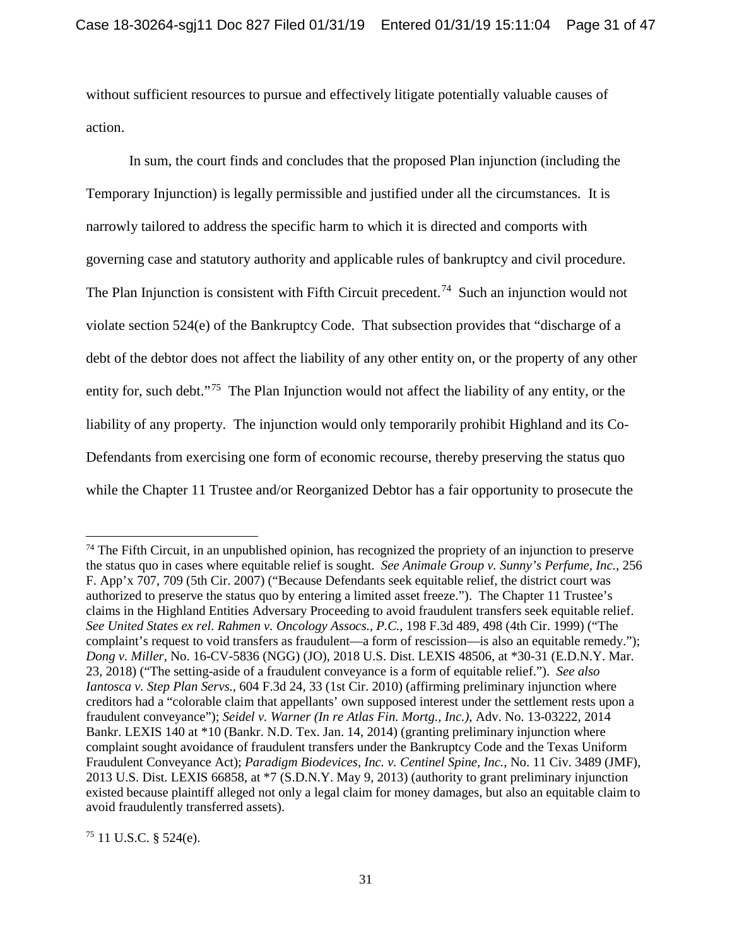without sufficient resources to pursue and effectively litigate potentially valuable causes of action.

In sum, the court finds and concludes that the proposed Plan injunction (including the Temporary Injunction) is legally permissible and justified under all the circumstances. It is narrowly tailored to address the specific harm to which it is directed and comports with governing case and statutory authority and applicable rules of bankruptcy and civil procedure. The Plan Injunction is consistent with Fifth Circuit precedent.<sup>74</sup> Such an injunction would not violate section 524(e) of the Bankruptcy Code. That subsection provides that "discharge of a debt of the debtor does not affect the liability of any other entity on, or the property of any other entity for, such debt."<sup>75</sup> The Plan Injunction would not affect the liability of any entity, or the liability of any property. The injunction would only temporarily prohibit Highland and its Co-Defendants from exercising one form of economic recourse, thereby preserving the status quo while the Chapter 11 Trustee and/or Reorganized Debtor has a fair opportunity to prosecute the

 $75$  11 U.S.C. § 524(e).

 $74$  The Fifth Circuit, in an unpublished opinion, has recognized the propriety of an injunction to preserve the status quo in cases where equitable relief is sought. *See Animale Group v. Sunny's Perfume, Inc.,* 256 F. App'x 707, 709 (5th Cir. 2007) ("Because Defendants seek equitable relief, the district court was authorized to preserve the status quo by entering a limited asset freeze."). The Chapter 11 Trustee's claims in the Highland Entities Adversary Proceeding to avoid fraudulent transfers seek equitable relief. *See United States ex rel. Rahmen v. Oncology Assocs., P.C.,* 198 F.3d 489, 498 (4th Cir. 1999) ("The complaint's request to void transfers as fraudulent—a form of rescission—is also an equitable remedy."); *Dong v. Miller*, No. 16-CV-5836 (NGG) (JO), 2018 U.S. Dist. LEXIS 48506, at \*30-31 (E.D.N.Y. Mar. 23, 2018) ("The setting-aside of a fraudulent conveyance is a form of equitable relief."). *See also Iantosca v. Step Plan Servs.,* 604 F.3d 24, 33 (1st Cir. 2010) (affirming preliminary injunction where creditors had a "colorable claim that appellants' own supposed interest under the settlement rests upon a fraudulent conveyance"); *Seidel v. Warner (In re Atlas Fin. Mortg., Inc.)*, Adv. No. 13-03222, 2014 Bankr. LEXIS 140 at \*10 (Bankr. N.D. Tex. Jan. 14, 2014) (granting preliminary injunction where complaint sought avoidance of fraudulent transfers under the Bankruptcy Code and the Texas Uniform Fraudulent Conveyance Act); *Paradigm Biodevices, Inc. v. Centinel Spine, Inc.*, No. 11 Civ. 3489 (JMF), 2013 U.S. Dist. LEXIS 66858, at \*7 (S.D.N.Y. May 9, 2013) (authority to grant preliminary injunction existed because plaintiff alleged not only a legal claim for money damages, but also an equitable claim to avoid fraudulently transferred assets).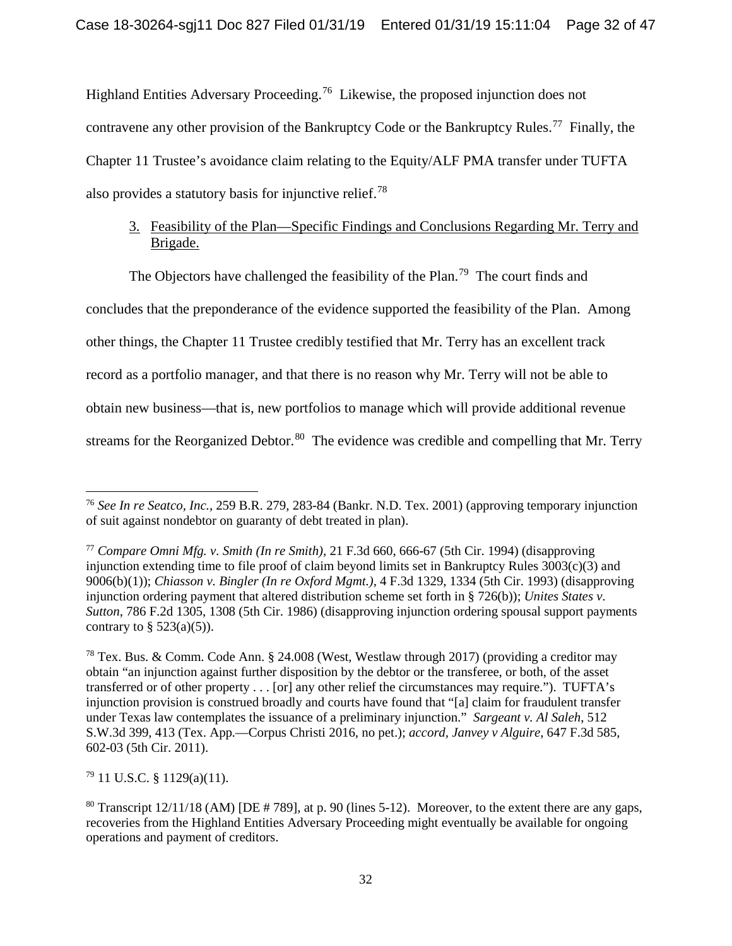Highland Entities Adversary Proceeding.<sup>76</sup> Likewise, the proposed injunction does not contravene any other provision of the Bankruptcy Code or the Bankruptcy Rules.<sup>77</sup> Finally, the Chapter 11 Trustee's avoidance claim relating to the Equity/ALF PMA transfer under TUFTA also provides a statutory basis for injunctive relief.<sup>78</sup>

# 3. Feasibility of the Plan—Specific Findings and Conclusions Regarding Mr. Terry and Brigade.

The Objectors have challenged the feasibility of the Plan.<sup>79</sup> The court finds and

concludes that the preponderance of the evidence supported the feasibility of the Plan. Among

other things, the Chapter 11 Trustee credibly testified that Mr. Terry has an excellent track

record as a portfolio manager, and that there is no reason why Mr. Terry will not be able to

obtain new business—that is, new portfolios to manage which will provide additional revenue

streams for the Reorganized Debtor.<sup>80</sup> The evidence was credible and compelling that Mr. Terry

 $79$  11 U.S.C. § 1129(a)(11).

<sup>76</sup> *See In re Seatco, Inc.*, 259 B.R. 279, 283-84 (Bankr. N.D. Tex. 2001) (approving temporary injunction of suit against nondebtor on guaranty of debt treated in plan).

<sup>77</sup> *Compare Omni Mfg. v. Smith (In re Smith),* 21 F.3d 660, 666-67 (5th Cir. 1994) (disapproving injunction extending time to file proof of claim beyond limits set in Bankruptcy Rules 3003(c)(3) and 9006(b)(1)); *Chiasson v. Bingler (In re Oxford Mgmt.),* 4 F.3d 1329, 1334 (5th Cir. 1993) (disapproving injunction ordering payment that altered distribution scheme set forth in § 726(b)); *Unites States v. Sutton*, 786 F.2d 1305, 1308 (5th Cir. 1986) (disapproving injunction ordering spousal support payments contrary to  $\S$  523(a)(5)).

<sup>78</sup> Tex. Bus. & Comm. Code Ann. § 24.008 (West, Westlaw through 2017) (providing a creditor may obtain "an injunction against further disposition by the debtor or the transferee, or both, of the asset transferred or of other property . . . [or] any other relief the circumstances may require."). TUFTA's injunction provision is construed broadly and courts have found that "[a] claim for fraudulent transfer under Texas law contemplates the issuance of a preliminary injunction." *Sargeant v. Al Saleh*, 512 S.W.3d 399, 413 (Tex. App.—Corpus Christi 2016, no pet.); *accord, Janvey v Alguire*, 647 F.3d 585, 602-03 (5th Cir. 2011).

<sup>&</sup>lt;sup>80</sup> Transcript  $12/11/18$  (AM) [DE # 789], at p. 90 (lines 5-12). Moreover, to the extent there are any gaps, recoveries from the Highland Entities Adversary Proceeding might eventually be available for ongoing operations and payment of creditors.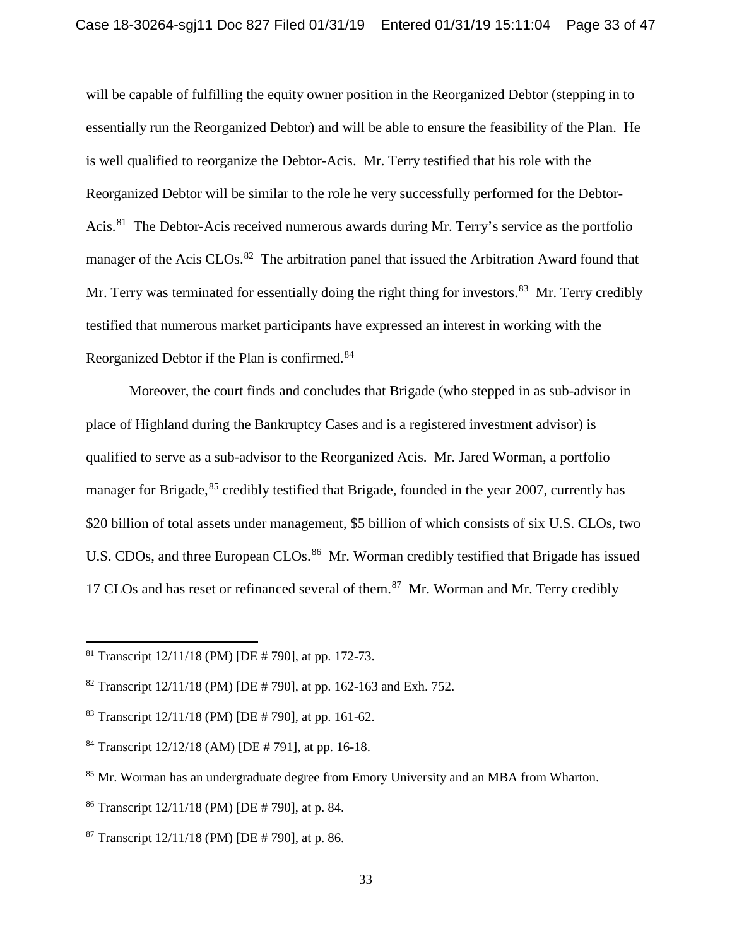will be capable of fulfilling the equity owner position in the Reorganized Debtor (stepping in to essentially run the Reorganized Debtor) and will be able to ensure the feasibility of the Plan. He is well qualified to reorganize the Debtor-Acis. Mr. Terry testified that his role with the Reorganized Debtor will be similar to the role he very successfully performed for the Debtor-Acis.<sup>81</sup> The Debtor-Acis received numerous awards during Mr. Terry's service as the portfolio manager of the Acis CLOs.<sup>82</sup> The arbitration panel that issued the Arbitration Award found that Mr. Terry was terminated for essentially doing the right thing for investors.<sup>83</sup> Mr. Terry credibly testified that numerous market participants have expressed an interest in working with the Reorganized Debtor if the Plan is confirmed.<sup>84</sup>

Moreover, the court finds and concludes that Brigade (who stepped in as sub-advisor in place of Highland during the Bankruptcy Cases and is a registered investment advisor) is qualified to serve as a sub-advisor to the Reorganized Acis. Mr. Jared Worman, a portfolio manager for Brigade,<sup>85</sup> credibly testified that Brigade, founded in the year 2007, currently has \$20 billion of total assets under management, \$5 billion of which consists of six U.S. CLOs, two U.S. CDOs, and three European CLOs.<sup>86</sup> Mr. Worman credibly testified that Brigade has issued 17 CLOs and has reset or refinanced several of them.<sup>87</sup> Mr. Worman and Mr. Terry credibly

<sup>&</sup>lt;sup>81</sup> Transcript  $12/11/18$  (PM) [DE # 790], at pp. 172-73.

<sup>&</sup>lt;sup>82</sup> Transcript  $12/11/18$  (PM) [DE # 790], at pp. 162-163 and Exh. 752.

<sup>&</sup>lt;sup>83</sup> Transcript  $12/11/18$  (PM) [DE # 790], at pp. 161-62.

<sup>84</sup> Transcript 12/12/18 (AM) [DE # 791], at pp. 16-18.

<sup>&</sup>lt;sup>85</sup> Mr. Worman has an undergraduate degree from Emory University and an MBA from Wharton.

<sup>86</sup> Transcript 12/11/18 (PM) [DE # 790], at p. 84.

<sup>&</sup>lt;sup>87</sup> Transcript  $12/11/18$  (PM) [DE # 790], at p. 86.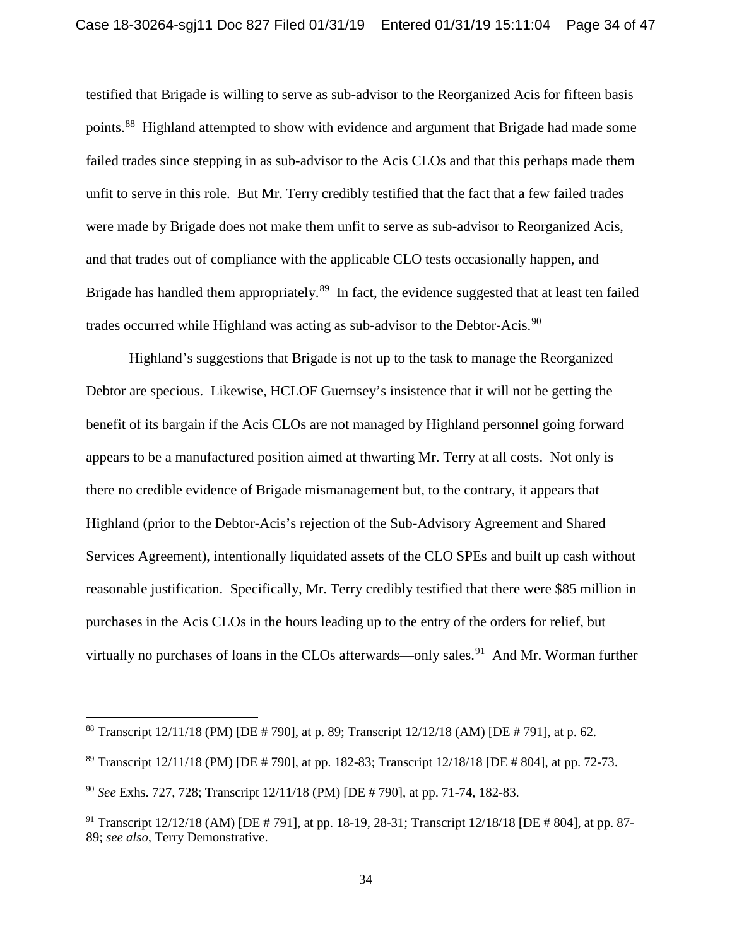testified that Brigade is willing to serve as sub-advisor to the Reorganized Acis for fifteen basis points.<sup>88</sup> Highland attempted to show with evidence and argument that Brigade had made some failed trades since stepping in as sub-advisor to the Acis CLOs and that this perhaps made them unfit to serve in this role. But Mr. Terry credibly testified that the fact that a few failed trades were made by Brigade does not make them unfit to serve as sub-advisor to Reorganized Acis, and that trades out of compliance with the applicable CLO tests occasionally happen, and Brigade has handled them appropriately.<sup>89</sup> In fact, the evidence suggested that at least ten failed trades occurred while Highland was acting as sub-advisor to the Debtor-Acis.<sup>90</sup>

Highland's suggestions that Brigade is not up to the task to manage the Reorganized Debtor are specious. Likewise, HCLOF Guernsey's insistence that it will not be getting the benefit of its bargain if the Acis CLOs are not managed by Highland personnel going forward appears to be a manufactured position aimed at thwarting Mr. Terry at all costs. Not only is there no credible evidence of Brigade mismanagement but, to the contrary, it appears that Highland (prior to the Debtor-Acis's rejection of the Sub-Advisory Agreement and Shared Services Agreement), intentionally liquidated assets of the CLO SPEs and built up cash without reasonable justification. Specifically, Mr. Terry credibly testified that there were \$85 million in purchases in the Acis CLOs in the hours leading up to the entry of the orders for relief, but virtually no purchases of loans in the CLOs afterwards—only sales.<sup>91</sup> And Mr. Worman further

<sup>88</sup> Transcript 12/11/18 (PM) [DE # 790], at p. 89; Transcript 12/12/18 (AM) [DE # 791], at p. 62.

<sup>89</sup> Transcript 12/11/18 (PM) [DE # 790], at pp. 182-83; Transcript 12/18/18 [DE # 804], at pp. 72-73.

<sup>90</sup> *See* Exhs. 727, 728; Transcript 12/11/18 (PM) [DE # 790], at pp. 71-74, 182-83.

<sup>91</sup> Transcript 12/12/18 (AM) [DE # 791], at pp. 18-19, 28-31; Transcript 12/18/18 [DE # 804], at pp. 87- 89; *see also,* Terry Demonstrative.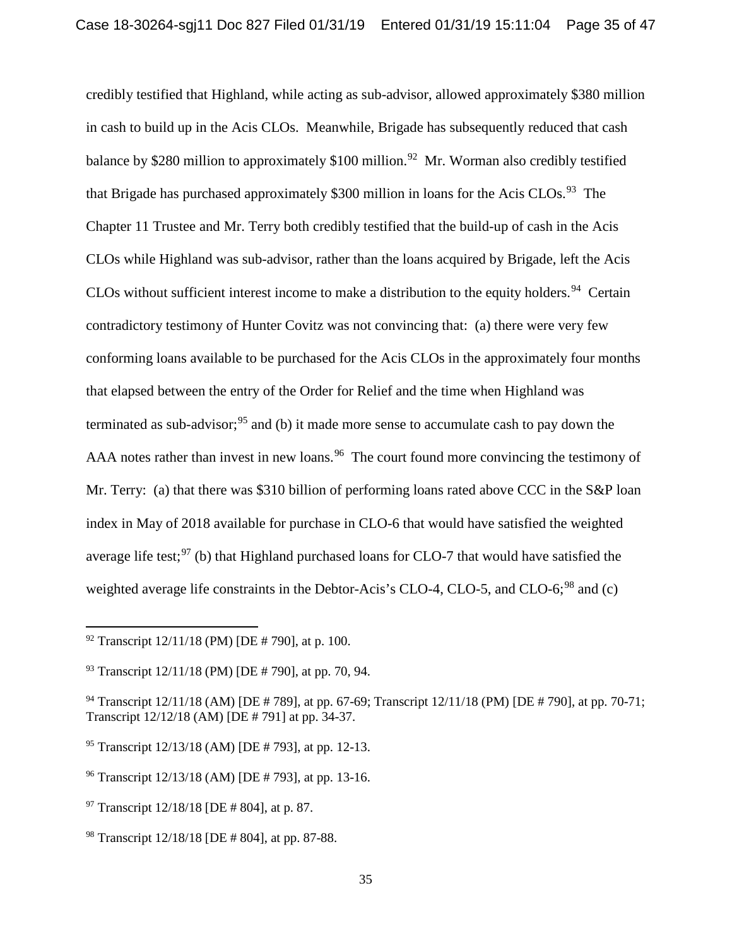credibly testified that Highland, while acting as sub-advisor, allowed approximately \$380 million in cash to build up in the Acis CLOs. Meanwhile, Brigade has subsequently reduced that cash balance by \$280 million to approximately \$100 million.<sup>92</sup> Mr. Worman also credibly testified that Brigade has purchased approximately \$300 million in loans for the Acis CLOs.<sup>93</sup> The Chapter 11 Trustee and Mr. Terry both credibly testified that the build-up of cash in the Acis CLOs while Highland was sub-advisor, rather than the loans acquired by Brigade, left the Acis CLOs without sufficient interest income to make a distribution to the equity holders.<sup>94</sup> Certain contradictory testimony of Hunter Covitz was not convincing that: (a) there were very few conforming loans available to be purchased for the Acis CLOs in the approximately four months that elapsed between the entry of the Order for Relief and the time when Highland was terminated as sub-advisor;<sup>95</sup> and (b) it made more sense to accumulate cash to pay down the AAA notes rather than invest in new loans.<sup>96</sup> The court found more convincing the testimony of Mr. Terry: (a) that there was \$310 billion of performing loans rated above CCC in the S&P loan index in May of 2018 available for purchase in CLO-6 that would have satisfied the weighted average life test; $97$  (b) that Highland purchased loans for CLO-7 that would have satisfied the weighted average life constraints in the Debtor-Acis's CLO-4, CLO-5, and CLO-6;<sup>98</sup> and (c)

 $\overline{a}$ 

<sup>96</sup> Transcript 12/13/18 (AM) [DE # 793], at pp. 13-16.

 $92$  Transcript  $12/11/18$  (PM) [DE # 790], at p. 100.

 $93$  Transcript  $12/11/18$  (PM) [DE # 790], at pp. 70, 94.

<sup>&</sup>lt;sup>94</sup> Transcript 12/11/18 (AM) [DE # 789], at pp. 67-69; Transcript 12/11/18 (PM) [DE # 790], at pp. 70-71; Transcript 12/12/18 (AM) [DE # 791] at pp. 34-37.

<sup>95</sup> Transcript 12/13/18 (AM) [DE # 793], at pp. 12-13.

 $97$  Transcript 12/18/18 [DE # 804], at p. 87.

<sup>98</sup> Transcript 12/18/18 [DE # 804], at pp. 87-88.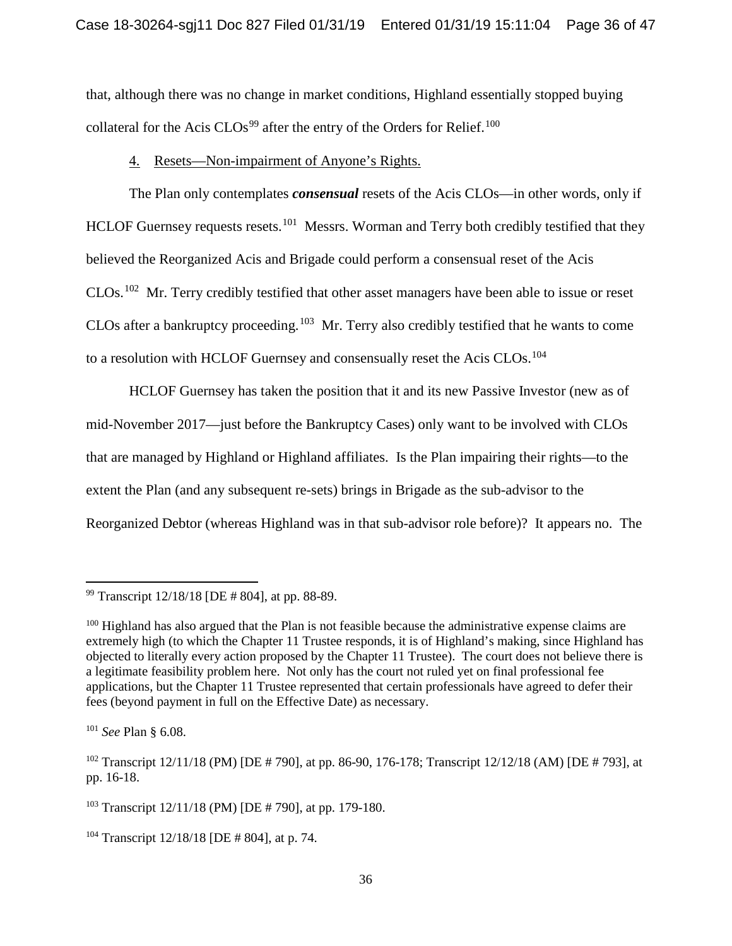that, although there was no change in market conditions, Highland essentially stopped buying collateral for the Acis  $CLOs<sup>99</sup>$  after the entry of the Orders for Relief.<sup>100</sup>

## 4. Resets—Non-impairment of Anyone's Rights.

The Plan only contemplates *consensual* resets of the Acis CLOs—in other words, only if HCLOF Guernsey requests resets.<sup>101</sup> Messrs. Worman and Terry both credibly testified that they believed the Reorganized Acis and Brigade could perform a consensual reset of the Acis CLOs.102 Mr. Terry credibly testified that other asset managers have been able to issue or reset CLOs after a bankruptcy proceeding.<sup>103</sup> Mr. Terry also credibly testified that he wants to come to a resolution with HCLOF Guernsey and consensually reset the Acis CLOs.<sup>104</sup>

HCLOF Guernsey has taken the position that it and its new Passive Investor (new as of mid-November 2017—just before the Bankruptcy Cases) only want to be involved with CLOs that are managed by Highland or Highland affiliates. Is the Plan impairing their rights—to the extent the Plan (and any subsequent re-sets) brings in Brigade as the sub-advisor to the Reorganized Debtor (whereas Highland was in that sub-advisor role before)? It appears no. The

 $\overline{a}$ 

<sup>99</sup> Transcript 12/18/18 [DE # 804], at pp. 88-89.

<sup>&</sup>lt;sup>100</sup> Highland has also argued that the Plan is not feasible because the administrative expense claims are extremely high (to which the Chapter 11 Trustee responds, it is of Highland's making, since Highland has objected to literally every action proposed by the Chapter 11 Trustee). The court does not believe there is a legitimate feasibility problem here. Not only has the court not ruled yet on final professional fee applications, but the Chapter 11 Trustee represented that certain professionals have agreed to defer their fees (beyond payment in full on the Effective Date) as necessary.

<sup>101</sup> *See* Plan § 6.08.

<sup>&</sup>lt;sup>102</sup> Transcript 12/11/18 (PM) [DE # 790], at pp. 86-90, 176-178; Transcript 12/12/18 (AM) [DE # 793], at pp. 16-18.

<sup>103</sup> Transcript 12/11/18 (PM) [DE # 790], at pp. 179-180.

<sup>104</sup> Transcript 12/18/18 [DE # 804], at p. 74.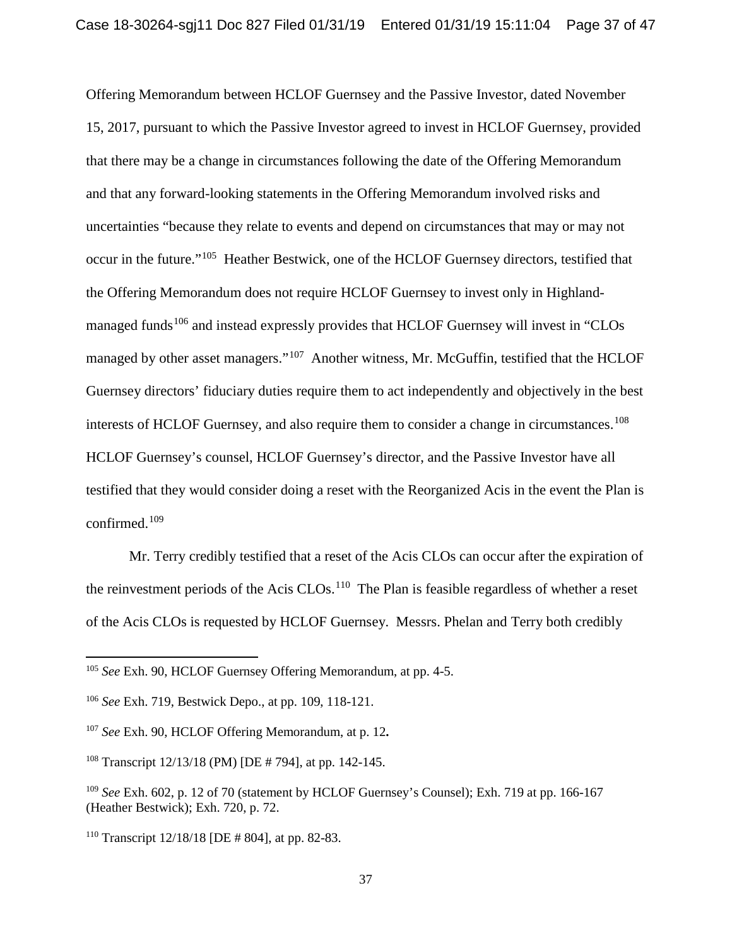Offering Memorandum between HCLOF Guernsey and the Passive Investor, dated November 15, 2017, pursuant to which the Passive Investor agreed to invest in HCLOF Guernsey, provided that there may be a change in circumstances following the date of the Offering Memorandum and that any forward-looking statements in the Offering Memorandum involved risks and uncertainties "because they relate to events and depend on circumstances that may or may not occur in the future."<sup>105</sup> Heather Bestwick, one of the HCLOF Guernsey directors, testified that the Offering Memorandum does not require HCLOF Guernsey to invest only in Highlandmanaged funds<sup>106</sup> and instead expressly provides that HCLOF Guernsey will invest in "CLOs managed by other asset managers."<sup>107</sup> Another witness, Mr. McGuffin, testified that the HCLOF Guernsey directors' fiduciary duties require them to act independently and objectively in the best interests of HCLOF Guernsey, and also require them to consider a change in circumstances.<sup>108</sup> HCLOF Guernsey's counsel, HCLOF Guernsey's director, and the Passive Investor have all testified that they would consider doing a reset with the Reorganized Acis in the event the Plan is confirmed. $109$ 

Mr. Terry credibly testified that a reset of the Acis CLOs can occur after the expiration of the reinvestment periods of the Acis  $CLOs.$ <sup>110</sup> The Plan is feasible regardless of whether a reset of the Acis CLOs is requested by HCLOF Guernsey. Messrs. Phelan and Terry both credibly

<sup>105</sup> *See* Exh. 90, HCLOF Guernsey Offering Memorandum, at pp. 4-5.

<sup>106</sup> *See* Exh. 719, Bestwick Depo., at pp. 109, 118-121.

<sup>107</sup> *See* Exh. 90, HCLOF Offering Memorandum, at p. 12**.**

<sup>108</sup> Transcript 12/13/18 (PM) [DE # 794], at pp. 142-145.

<sup>109</sup> *See* Exh. 602, p. 12 of 70 (statement by HCLOF Guernsey's Counsel); Exh. 719 at pp. 166-167 (Heather Bestwick); Exh. 720, p. 72.

<sup>&</sup>lt;sup>110</sup> Transcript  $12/18/18$  [DE # 804], at pp. 82-83.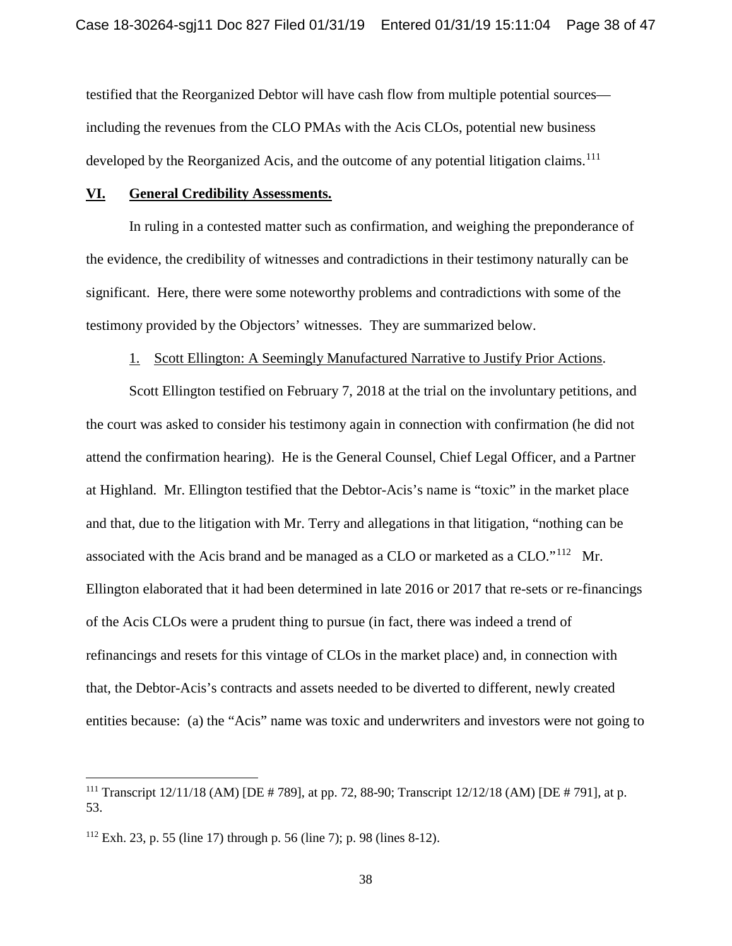testified that the Reorganized Debtor will have cash flow from multiple potential sources including the revenues from the CLO PMAs with the Acis CLOs, potential new business developed by the Reorganized Acis, and the outcome of any potential litigation claims.<sup>111</sup>

### **VI. General Credibility Assessments.**

In ruling in a contested matter such as confirmation, and weighing the preponderance of the evidence, the credibility of witnesses and contradictions in their testimony naturally can be significant. Here, there were some noteworthy problems and contradictions with some of the testimony provided by the Objectors' witnesses. They are summarized below.

### 1. Scott Ellington: A Seemingly Manufactured Narrative to Justify Prior Actions.

Scott Ellington testified on February 7, 2018 at the trial on the involuntary petitions, and the court was asked to consider his testimony again in connection with confirmation (he did not attend the confirmation hearing). He is the General Counsel, Chief Legal Officer, and a Partner at Highland. Mr. Ellington testified that the Debtor-Acis's name is "toxic" in the market place and that, due to the litigation with Mr. Terry and allegations in that litigation, "nothing can be associated with the Acis brand and be managed as a CLO or marketed as a CLO."112 Mr. Ellington elaborated that it had been determined in late 2016 or 2017 that re-sets or re-financings of the Acis CLOs were a prudent thing to pursue (in fact, there was indeed a trend of refinancings and resets for this vintage of CLOs in the market place) and, in connection with that, the Debtor-Acis's contracts and assets needed to be diverted to different, newly created entities because: (a) the "Acis" name was toxic and underwriters and investors were not going to

<sup>&</sup>lt;sup>111</sup> Transcript  $12/11/18$  (AM) [DE # 789], at pp. 72, 88-90; Transcript  $12/12/18$  (AM) [DE # 791], at p. 53.

 $112$  Exh. 23, p. 55 (line 17) through p. 56 (line 7); p. 98 (lines 8-12).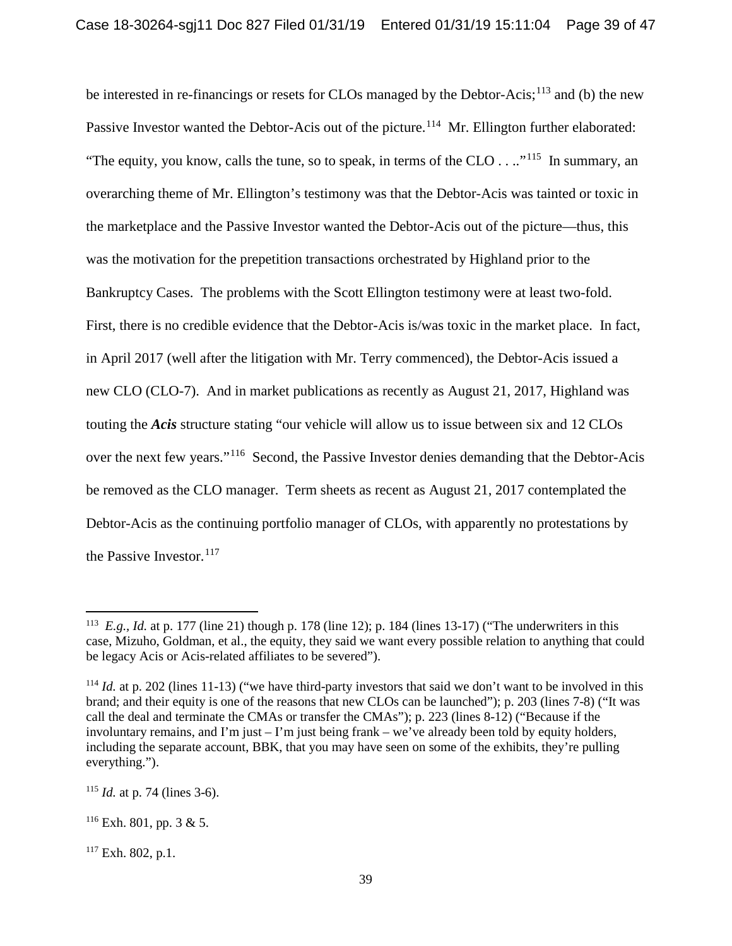be interested in re-financings or resets for CLOs managed by the Debtor-Acis;<sup>113</sup> and (b) the new Passive Investor wanted the Debtor-Acis out of the picture.<sup>114</sup> Mr. Ellington further elaborated: "The equity, you know, calls the tune, so to speak, in terms of the CLO  $\dots$ "<sup>115</sup> In summary, an overarching theme of Mr. Ellington's testimony was that the Debtor-Acis was tainted or toxic in the marketplace and the Passive Investor wanted the Debtor-Acis out of the picture—thus, this was the motivation for the prepetition transactions orchestrated by Highland prior to the Bankruptcy Cases. The problems with the Scott Ellington testimony were at least two-fold. First, there is no credible evidence that the Debtor-Acis is/was toxic in the market place. In fact, in April 2017 (well after the litigation with Mr. Terry commenced), the Debtor-Acis issued a new CLO (CLO-7). And in market publications as recently as August 21, 2017, Highland was touting the *Acis* structure stating "our vehicle will allow us to issue between six and 12 CLOs over the next few years."116 Second, the Passive Investor denies demanding that the Debtor-Acis be removed as the CLO manager. Term sheets as recent as August 21, 2017 contemplated the Debtor-Acis as the continuing portfolio manager of CLOs, with apparently no protestations by the Passive Investor. $117$ 

<sup>113</sup> *E.g., Id.* at p. 177 (line 21) though p. 178 (line 12); p. 184 (lines 13-17) ("The underwriters in this case, Mizuho, Goldman, et al., the equity, they said we want every possible relation to anything that could be legacy Acis or Acis-related affiliates to be severed").

<sup>&</sup>lt;sup>114</sup> *Id.* at p. 202 (lines 11-13) ("we have third-party investors that said we don't want to be involved in this brand; and their equity is one of the reasons that new CLOs can be launched"); p. 203 (lines 7-8) ("It was call the deal and terminate the CMAs or transfer the CMAs"); p. 223 (lines 8-12) ("Because if the involuntary remains, and I'm just – I'm just being frank – we've already been told by equity holders, including the separate account, BBK, that you may have seen on some of the exhibits, they're pulling everything.").

 $115$  *Id.* at p. 74 (lines 3-6).

 $116$  Exh. 801, pp. 3 & 5.

 $117$  Exh. 802, p.1.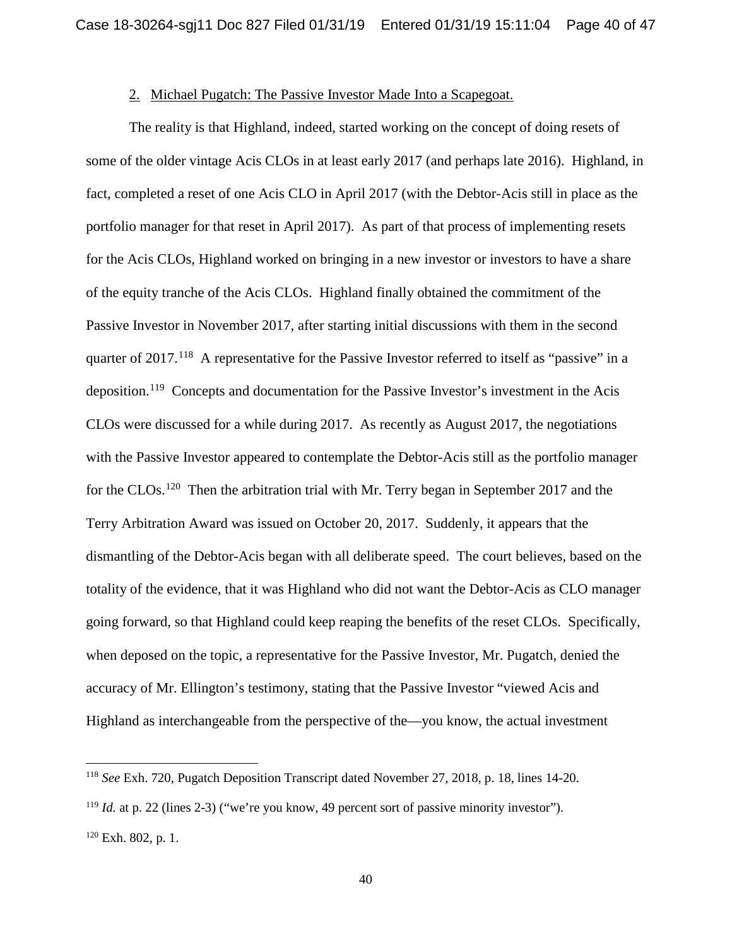### 2. Michael Pugatch: The Passive Investor Made Into a Scapegoat.

The reality is that Highland, indeed, started working on the concept of doing resets of some of the older vintage Acis CLOs in at least early 2017 (and perhaps late 2016). Highland, in fact, completed a reset of one Acis CLO in April 2017 (with the Debtor-Acis still in place as the portfolio manager for that reset in April 2017). As part of that process of implementing resets for the Acis CLOs, Highland worked on bringing in a new investor or investors to have a share of the equity tranche of the Acis CLOs. Highland finally obtained the commitment of the Passive Investor in November 2017, after starting initial discussions with them in the second quarter of 2017.<sup>118</sup> A representative for the Passive Investor referred to itself as "passive" in a deposition.119 Concepts and documentation for the Passive Investor's investment in the Acis CLOs were discussed for a while during 2017. As recently as August 2017, the negotiations with the Passive Investor appeared to contemplate the Debtor-Acis still as the portfolio manager for the CLOs.<sup>120</sup> Then the arbitration trial with Mr. Terry began in September 2017 and the Terry Arbitration Award was issued on October 20, 2017. Suddenly, it appears that the dismantling of the Debtor-Acis began with all deliberate speed. The court believes, based on the totality of the evidence, that it was Highland who did not want the Debtor-Acis as CLO manager going forward, so that Highland could keep reaping the benefits of the reset CLOs. Specifically, when deposed on the topic, a representative for the Passive Investor, Mr. Pugatch, denied the accuracy of Mr. Ellington's testimony, stating that the Passive Investor "viewed Acis and Highland as interchangeable from the perspective of the—you know, the actual investment

<sup>118</sup> *See* Exh. 720, Pugatch Deposition Transcript dated November 27, 2018, p. 18, lines 14-20.

<sup>&</sup>lt;sup>119</sup> *Id.* at p. 22 (lines 2-3) ("we're you know, 49 percent sort of passive minority investor").  $120$  Exh. 802, p. 1.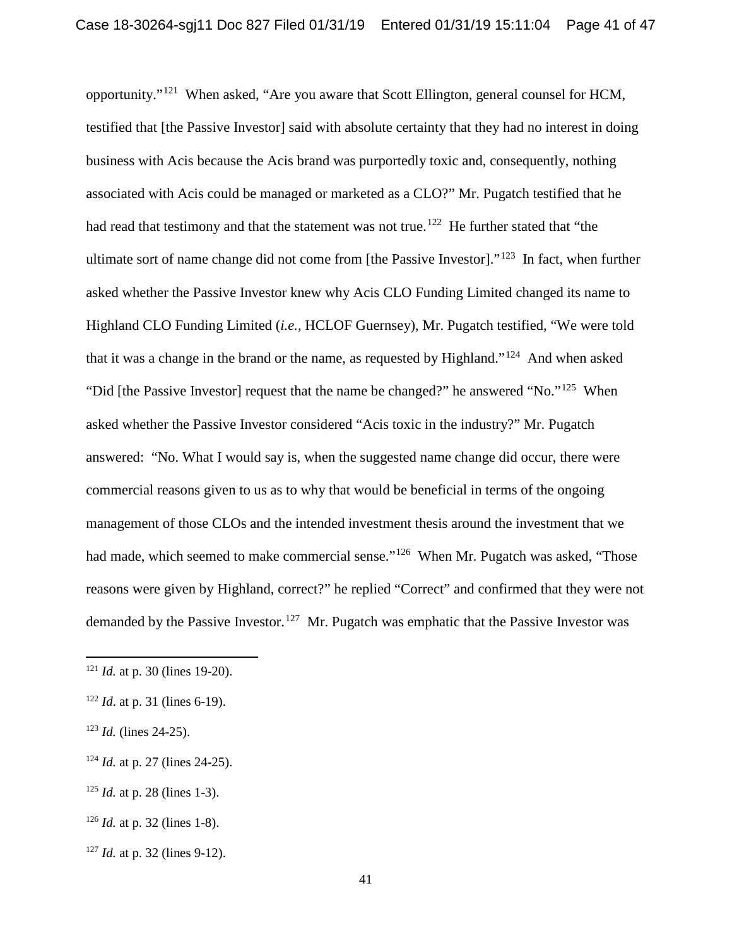opportunity."121 When asked, "Are you aware that Scott Ellington, general counsel for HCM, testified that [the Passive Investor] said with absolute certainty that they had no interest in doing business with Acis because the Acis brand was purportedly toxic and, consequently, nothing associated with Acis could be managed or marketed as a CLO?" Mr. Pugatch testified that he had read that testimony and that the statement was not true.<sup>122</sup> He further stated that "the ultimate sort of name change did not come from [the Passive Investor]."123 In fact, when further asked whether the Passive Investor knew why Acis CLO Funding Limited changed its name to Highland CLO Funding Limited (*i.e.,* HCLOF Guernsey), Mr. Pugatch testified, "We were told that it was a change in the brand or the name, as requested by Highland."<sup>124</sup> And when asked "Did [the Passive Investor] request that the name be changed?" he answered "No."<sup>125</sup> When asked whether the Passive Investor considered "Acis toxic in the industry?" Mr. Pugatch answered: "No. What I would say is, when the suggested name change did occur, there were commercial reasons given to us as to why that would be beneficial in terms of the ongoing management of those CLOs and the intended investment thesis around the investment that we had made, which seemed to make commercial sense."<sup>126</sup> When Mr. Pugatch was asked, "Those reasons were given by Highland, correct?" he replied "Correct" and confirmed that they were not demanded by the Passive Investor.<sup>127</sup> Mr. Pugatch was emphatic that the Passive Investor was

- <sup>125</sup> *Id.* at p. 28 (lines 1-3).
- <sup>126</sup> *Id.* at p. 32 (lines 1-8).
- <sup>127</sup> *Id.* at p. 32 (lines 9-12).

<sup>121</sup> *Id.* at p. 30 (lines 19-20).

<sup>122</sup> *Id*. at p. 31 (lines 6-19).

<sup>123</sup> *Id.* (lines 24-25).

<sup>124</sup> *Id.* at p. 27 (lines 24-25).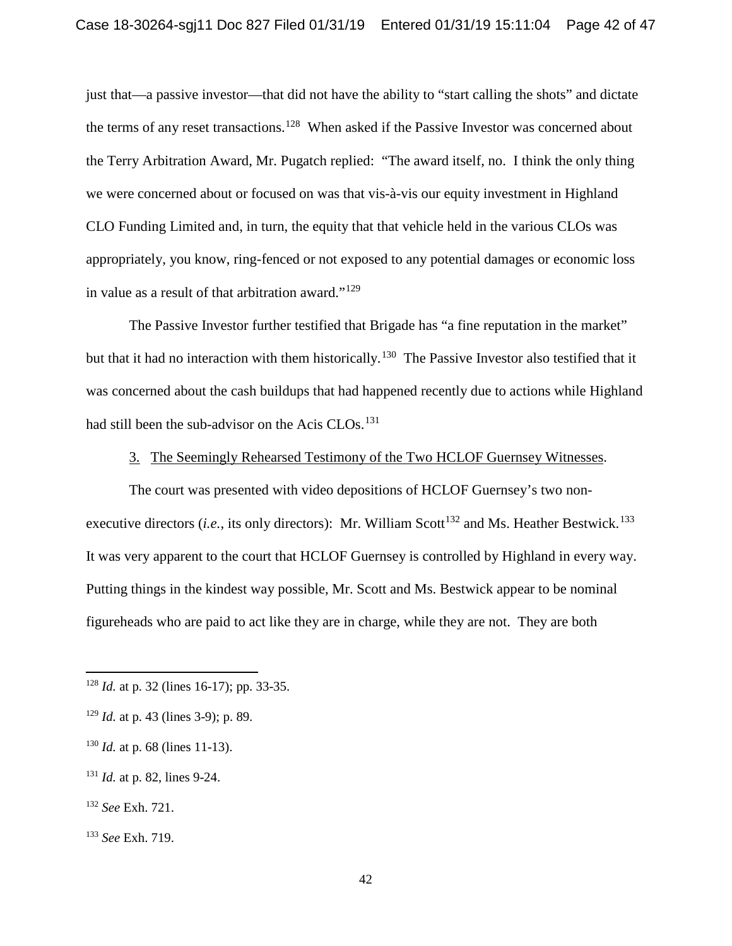just that—a passive investor—that did not have the ability to "start calling the shots" and dictate the terms of any reset transactions.<sup>128</sup> When asked if the Passive Investor was concerned about the Terry Arbitration Award, Mr. Pugatch replied: "The award itself, no. I think the only thing we were concerned about or focused on was that vis-à-vis our equity investment in Highland CLO Funding Limited and, in turn, the equity that that vehicle held in the various CLOs was appropriately, you know, ring-fenced or not exposed to any potential damages or economic loss in value as a result of that arbitration award." $129$ 

The Passive Investor further testified that Brigade has "a fine reputation in the market" but that it had no interaction with them historically.<sup>130</sup> The Passive Investor also testified that it was concerned about the cash buildups that had happened recently due to actions while Highland had still been the sub-advisor on the Acis CLOs.<sup>131</sup>

## 3. The Seemingly Rehearsed Testimony of the Two HCLOF Guernsey Witnesses.

The court was presented with video depositions of HCLOF Guernsey's two nonexecutive directors (*i.e.*, its only directors): Mr. William Scott<sup>132</sup> and Ms. Heather Bestwick.<sup>133</sup> It was very apparent to the court that HCLOF Guernsey is controlled by Highland in every way. Putting things in the kindest way possible, Mr. Scott and Ms. Bestwick appear to be nominal figureheads who are paid to act like they are in charge, while they are not. They are both

<sup>128</sup> *Id.* at p. 32 (lines 16-17); pp. 33-35.

<sup>129</sup> *Id.* at p. 43 (lines 3-9); p. 89.

<sup>130</sup> *Id.* at p. 68 (lines 11-13).

<sup>131</sup> *Id.* at p. 82, lines 9-24.

<sup>132</sup> *See* Exh. 721.

<sup>133</sup> *See* Exh. 719.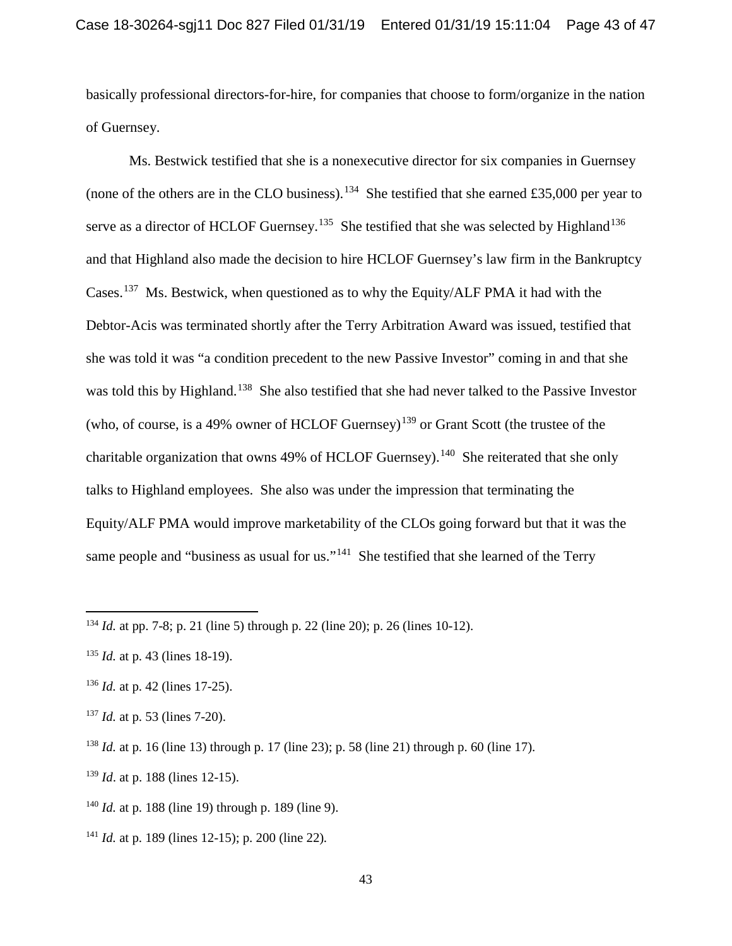basically professional directors-for-hire, for companies that choose to form/organize in the nation of Guernsey.

Ms. Bestwick testified that she is a nonexecutive director for six companies in Guernsey (none of the others are in the CLO business).<sup>134</sup> She testified that she earned £35,000 per year to serve as a director of HCLOF Guernsey.<sup>135</sup> She testified that she was selected by Highland<sup>136</sup> and that Highland also made the decision to hire HCLOF Guernsey's law firm in the Bankruptcy Cases.137 Ms. Bestwick, when questioned as to why the Equity/ALF PMA it had with the Debtor-Acis was terminated shortly after the Terry Arbitration Award was issued, testified that she was told it was "a condition precedent to the new Passive Investor" coming in and that she was told this by Highland.<sup>138</sup> She also testified that she had never talked to the Passive Investor (who, of course, is a 49% owner of HCLOF Guernsey)<sup>139</sup> or Grant Scott (the trustee of the charitable organization that owns 49% of HCLOF Guernsey).<sup>140</sup> She reiterated that she only talks to Highland employees. She also was under the impression that terminating the Equity/ALF PMA would improve marketability of the CLOs going forward but that it was the same people and "business as usual for us."<sup>141</sup> She testified that she learned of the Terry

l

<sup>139</sup> *Id*. at p. 188 (lines 12-15).

<sup>134</sup> *Id.* at pp. 7-8; p. 21 (line 5) through p. 22 (line 20); p. 26 (lines 10-12).

<sup>135</sup> *Id.* at p. 43 (lines 18-19).

<sup>136</sup> *Id.* at p. 42 (lines 17-25).

<sup>137</sup> *Id.* at p. 53 (lines 7-20).

<sup>138</sup> *Id.* at p. 16 (line 13) through p. 17 (line 23); p. 58 (line 21) through p. 60 (line 17).

<sup>140</sup> *Id.* at p. 188 (line 19) through p. 189 (line 9).

<sup>141</sup> *Id.* at p. 189 (lines 12-15); p. 200 (line 22)*.*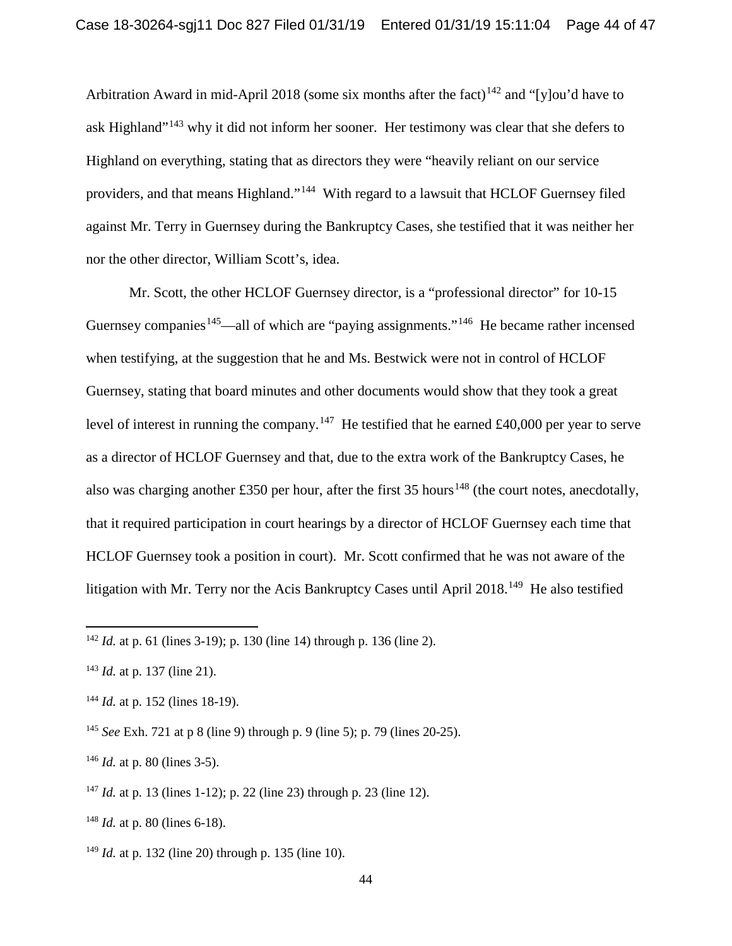Arbitration Award in mid-April 2018 (some six months after the fact)<sup>142</sup> and "[y]ou'd have to ask Highland"<sup>143</sup> why it did not inform her sooner. Her testimony was clear that she defers to Highland on everything, stating that as directors they were "heavily reliant on our service providers, and that means Highland."144 With regard to a lawsuit that HCLOF Guernsey filed against Mr. Terry in Guernsey during the Bankruptcy Cases, she testified that it was neither her nor the other director, William Scott's, idea.

Mr. Scott, the other HCLOF Guernsey director, is a "professional director" for 10-15 Guernsey companies<sup>145</sup>—all of which are "paying assignments."<sup>146</sup> He became rather incensed when testifying, at the suggestion that he and Ms. Bestwick were not in control of HCLOF Guernsey, stating that board minutes and other documents would show that they took a great level of interest in running the company.<sup>147</sup> He testified that he earned £40,000 per year to serve as a director of HCLOF Guernsey and that, due to the extra work of the Bankruptcy Cases, he also was charging another £350 per hour, after the first 35 hours<sup>148</sup> (the court notes, anecdotally, that it required participation in court hearings by a director of HCLOF Guernsey each time that HCLOF Guernsey took a position in court). Mr. Scott confirmed that he was not aware of the litigation with Mr. Terry nor the Acis Bankruptcy Cases until April 2018.<sup>149</sup> He also testified

 $\overline{a}$ 

<sup>147</sup> *Id.* at p. 13 (lines 1-12); p. 22 (line 23) through p. 23 (line 12).

<sup>142</sup> *Id.* at p. 61 (lines 3-19); p. 130 (line 14) through p. 136 (line 2).

<sup>143</sup> *Id.* at p. 137 (line 21).

<sup>&</sup>lt;sup>144</sup> *Id.* at p. 152 (lines 18-19).

<sup>145</sup> *See* Exh. 721 at p 8 (line 9) through p. 9 (line 5); p. 79 (lines 20-25).

<sup>146</sup> *Id.* at p. 80 (lines 3-5).

<sup>148</sup> *Id.* at p. 80 (lines 6-18).

<sup>149</sup> *Id.* at p. 132 (line 20) through p. 135 (line 10).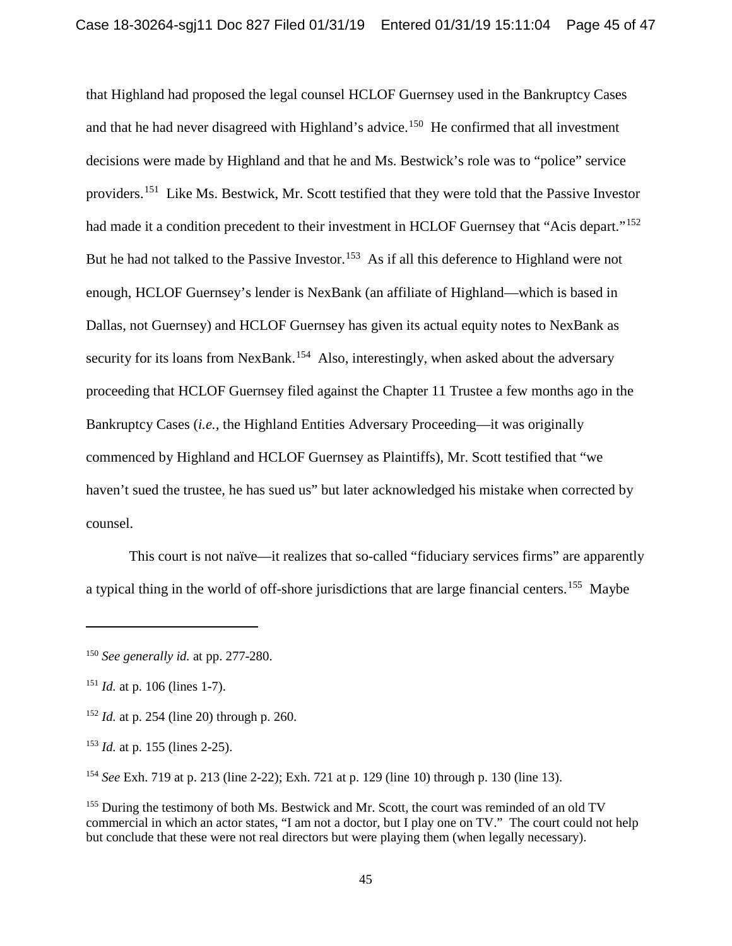that Highland had proposed the legal counsel HCLOF Guernsey used in the Bankruptcy Cases and that he had never disagreed with Highland's advice.<sup>150</sup> He confirmed that all investment decisions were made by Highland and that he and Ms. Bestwick's role was to "police" service providers.151 Like Ms. Bestwick, Mr. Scott testified that they were told that the Passive Investor had made it a condition precedent to their investment in HCLOF Guernsey that "Acis depart."<sup>152</sup> But he had not talked to the Passive Investor.<sup>153</sup> As if all this deference to Highland were not enough, HCLOF Guernsey's lender is NexBank (an affiliate of Highland—which is based in Dallas, not Guernsey) and HCLOF Guernsey has given its actual equity notes to NexBank as security for its loans from NexBank.<sup>154</sup> Also, interestingly, when asked about the adversary proceeding that HCLOF Guernsey filed against the Chapter 11 Trustee a few months ago in the Bankruptcy Cases (*i.e.,* the Highland Entities Adversary Proceeding—it was originally commenced by Highland and HCLOF Guernsey as Plaintiffs), Mr. Scott testified that "we haven't sued the trustee, he has sued us" but later acknowledged his mistake when corrected by counsel.

This court is not naïve—it realizes that so-called "fiduciary services firms" are apparently a typical thing in the world of off-shore jurisdictions that are large financial centers.<sup>155</sup> Maybe

 $\overline{a}$ 

<sup>154</sup> *See* Exh. 719 at p. 213 (line 2-22); Exh. 721 at p. 129 (line 10) through p. 130 (line 13).

<sup>150</sup> *See generally id.* at pp. 277-280.

<sup>151</sup> *Id.* at p. 106 (lines 1-7).

<sup>152</sup> *Id.* at p. 254 (line 20) through p. 260.

<sup>153</sup> *Id.* at p. 155 (lines 2-25).

<sup>&</sup>lt;sup>155</sup> During the testimony of both Ms. Bestwick and Mr. Scott, the court was reminded of an old TV commercial in which an actor states, "I am not a doctor, but I play one on TV." The court could not help but conclude that these were not real directors but were playing them (when legally necessary).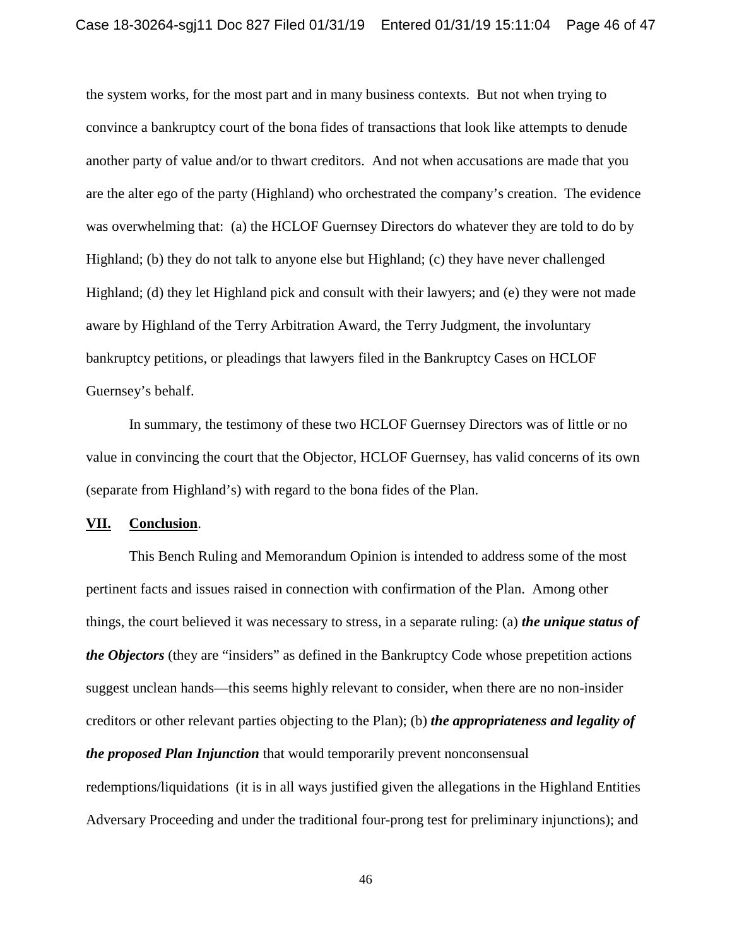the system works, for the most part and in many business contexts. But not when trying to convince a bankruptcy court of the bona fides of transactions that look like attempts to denude another party of value and/or to thwart creditors. And not when accusations are made that you are the alter ego of the party (Highland) who orchestrated the company's creation. The evidence was overwhelming that: (a) the HCLOF Guernsey Directors do whatever they are told to do by Highland; (b) they do not talk to anyone else but Highland; (c) they have never challenged Highland; (d) they let Highland pick and consult with their lawyers; and (e) they were not made aware by Highland of the Terry Arbitration Award, the Terry Judgment, the involuntary bankruptcy petitions, or pleadings that lawyers filed in the Bankruptcy Cases on HCLOF Guernsey's behalf.

In summary, the testimony of these two HCLOF Guernsey Directors was of little or no value in convincing the court that the Objector, HCLOF Guernsey, has valid concerns of its own (separate from Highland's) with regard to the bona fides of the Plan.

#### **VII. Conclusion**.

This Bench Ruling and Memorandum Opinion is intended to address some of the most pertinent facts and issues raised in connection with confirmation of the Plan. Among other things, the court believed it was necessary to stress, in a separate ruling: (a) *the unique status of the Objectors* (they are "insiders" as defined in the Bankruptcy Code whose prepetition actions suggest unclean hands—this seems highly relevant to consider, when there are no non-insider creditors or other relevant parties objecting to the Plan); (b) *the appropriateness and legality of the proposed Plan Injunction* that would temporarily prevent nonconsensual

redemptions/liquidations (it is in all ways justified given the allegations in the Highland Entities Adversary Proceeding and under the traditional four-prong test for preliminary injunctions); and

46